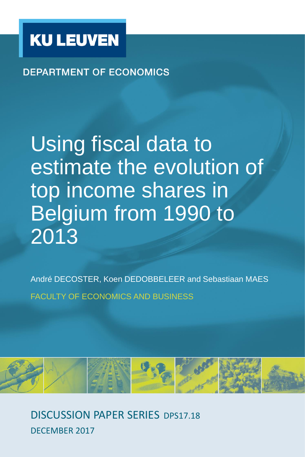

**DEPARTMENT OF ECONOMICS** 

Using fiscal data to estimate the evolution of top income shares in Belgium from 1990 to 2013

André DECOSTER, Koen DEDOBBELEER and Sebastiaan MAES FACULTY OF ECONOMICS AND BUSINESS



DISCUSSION PAPER SERIES DPS17.18 DECEMBER 2017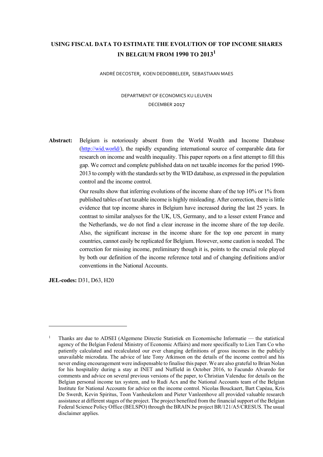# **USING FISCAL DATA TO ESTIMATE THE EVOLUTION OF TOP INCOME SHARES IN BELGIUM FROM 1990 TO 20131**

ANDRÉ DECOSTER, KOEN DEDOBBELEER, SEBASTIAAN MAES

DEPARTMENT OF ECONOMICS KU LEUVEN DECEMBER 2017

**Abstract:** Belgium is notoriously absent from the World Wealth and Income Database (http://wid.world/), the rapidly expanding international source of comparable data for research on income and wealth inequality. This paper reports on a first attempt to fill this gap. We correct and complete published data on net taxable incomes for the period 1990- 2013 to comply with the standards set by the WID database, as expressed in the population control and the income control.

> Our results show that inferring evolutions of the income share of the top 10% or 1% from published tables of net taxable income is highly misleading. After correction, there is little evidence that top income shares in Belgium have increased during the last 25 years. In contrast to similar analyses for the UK, US, Germany, and to a lesser extent France and the Netherlands, we do not find a clear increase in the income share of the top decile. Also, the significant increase in the income share for the top one percent in many countries, cannot easily be replicated for Belgium. However, some caution is needed. The correction for missing income, preliminary though it is, points to the crucial role played by both our definition of the income reference total and of changing definitions and/or conventions in the National Accounts.

**JEL-codes:** D31, D63, H20

l

<sup>1</sup> Thanks are due to ADSEI (Algemene Directie Statistiek en Economische Informatie — the statistical agency of the Belgian Federal Ministry of Economic Affairs) and more specifically to Lien Tam Co who patiently calculated and recalculated our ever changing definitions of gross incomes in the publicly unavailable microdata. The advice of late Tony Atkinson on the details of the income control and his never ending encouragement were indispensable to finalise this paper. We are also grateful to Brian Nolan for his hospitality during a stay at INET and Nuffield in October 2016, to Facundo Alvaredo for comments and advice on several previous versions of the paper, to Christian Valenduc for details on the Belgian personal income tax system, and to Rudi Acx and the National Accounts team of the Belgian Institute for National Accounts for advice on the income control. Nicolas Bouckaert, Bart Capéau, Kris De Swerdt, Kevin Spiritus, Toon Vanheukelom and Pieter Vanleenhove all provided valuable research assistance at different stages of the project. The project benefited from the financial support of the Belgian Federal Science Policy Office (BELSPO) through the BRAIN.be project BR/121/A5/CRESUS. The usual disclaimer applies.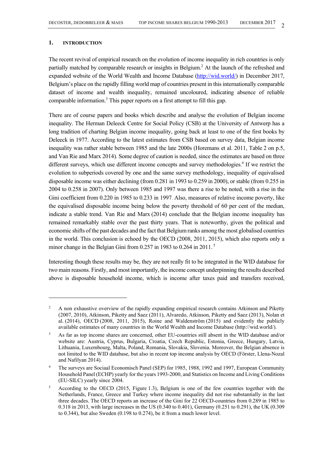# **1. INTRODUCTION**

l

The recent revival of empirical research on the evolution of income inequality in rich countries is only partially matched by comparable research or insights in Belgium.<sup>2</sup> At the launch of the refreshed and expanded website of the World Wealth and Income Database (http://wid.world/) in December 2017, Belgium's place on the rapidly filling world map of countries present in this internationally comparable dataset of income and wealth inequality, remained uncoloured, indicating absence of reliable comparable information.<sup>3</sup> This paper reports on a first attempt to fill this gap.

There are of course papers and books which describe and analyse the evolution of Belgian income inequality. The Herman Deleeck Centre for Social Policy (CSB) at the University of Antwerp has a long tradition of charting Belgian income inequality, going back at least to one of the first books by Deleeck in 1977. According to the latest estimates from CSB based on survey data, Belgian income inequality was rather stable between 1985 and the late 2000s (Horemans et al. 2011, Table 2 on p.5, and Van Rie and Marx 2014). Some degree of caution is needed, since the estimates are based on three different surveys, which use different income concepts and survey methodologies.<sup>4</sup> If we restrict the evolution to subperiods covered by one and the same survey methodology, inequality of equivalised disposable income was either declining (from 0.281 in 1993 to 0.259 in 2000), or stable (from 0.255 in 2004 to 0.258 in 2007). Only between 1985 and 1997 was there a rise to be noted, with a rise in the Gini coefficient from 0.220 in 1985 to 0.233 in 1997. Also, measures of relative income poverty, like the equivalised disposable income being below the poverty threshold of 60 per cent of the median, indicate a stable trend. Van Rie and Marx (2014) conclude that the Belgian income inequality has remained remarkably stable over the past thirty years. That is noteworthy, given the political and economic shifts of the past decades and the fact that Belgium ranks among the most globalised countries in the world. This conclusion is echoed by the OECD (2008, 2011, 2015), which also reports only a minor change in the Belgian Gini from 0.257 in 1983 to 0.264 in 2011.<sup>5</sup>

Interesting though these results may be, they are not really fit to be integrated in the WID database for two main reasons. Firstly, and most importantly, the income concept underpinning the results described above is disposable household income, which is income after taxes paid and transfers received,

<sup>2</sup> A non exhaustive overview of the rapidly expanding empirical research contains Atkinson and Piketty (2007, 2010), Atkinson, Piketty and Saez (2011), Alvaredo, Atkinson, Piketty and Saez (2013), Nolan et al. (2014), OECD (2008, 2011, 2015), Roine and Waldenström (2015) and evidently the publicly available estimates of many countries in the World Wealth and Income Database (http://wid.world/).

<sup>3</sup> As far as top income shares are concerned, other EU-countries still absent in the WID database and/or website are: Austria, Cyprus, Bulgaria, Croatia, Czech Republic, Estonia, Greece, Hungary, Latvia, Lithuania, Luxembourg, Malta, Poland, Romania, Slovakia, Slovenia. Moreover, the Belgian absence is not limited to the WID database, but also in recent top income analysis by OECD (Förster, Llena-Nozal and Nafilyan 2014).

<sup>4</sup> The surveys are Sociaal Economisch Panel (SEP) for 1985, 1988, 1992 and 1997, European Community Household Panel (ECHP) yearly for the years 1993-2000, and Statistics on Income and Living Conditions (EU-SILC) yearly since 2004.

<sup>5</sup> According to the OECD (2015, Figure 1.3), Belgium is one of the few countries together with the Netherlands, France, Greece and Turkey where income inequality did not rise substantially in the last three decades. The OECD reports an increase of the Gini for 22 OECD-countries from 0.289 in 1985 to 0.318 in 2013, with large increases in the US (0.340 to 0.401), Germany (0.251 to 0.291), the UK (0.309 to 0.344), but also Sweden (0.198 to 0.274), be it from a much lower level.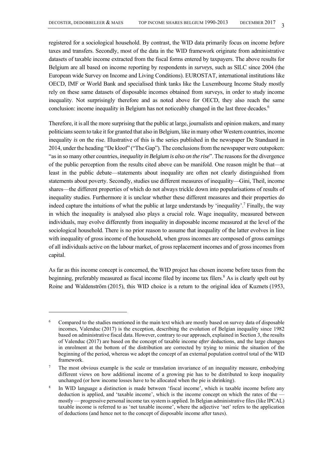registered for a sociological household. By contrast, the WID data primarily focus on income *before* taxes and transfers. Secondly, most of the data in the WID framework originate from administrative datasets of taxable income extracted from the fiscal forms entered by taxpayers. The above results for Belgium are all based on income reporting by respondents in *surveys*, such as SILC since 2004 (the European wide Survey on Income and Living Conditions). EUROSTAT, international institutions like OECD, IMF or World Bank and specialised think tanks like the Luxembourg Income Study mostly rely on these same datasets of disposable incomes obtained from surveys, in order to study income inequality. Not surprisingly therefore and as noted above for OECD, they also reach the same conclusion: income inequality in Belgium has not noticeably changed in the last three decades.<sup>6</sup>

Therefore, it is all the more surprising that the public at large, journalists and opinion makers, and many politicians seem to take it for granted that also in Belgium, like in many other Western countries, income inequality *is* on the rise. Illustrative of this is the series published in the newspaper De Standaard in 2014, under the heading "De kloof" ("The Gap"). The conclusions from the newspaper were outspoken: "as in so many other countries, *inequality in Belgium is also on the rise*". The reasons for the divergence of the public perception from the results cited above can be manifold. One reason might be that—at least in the public debate—statements about inequality are often not clearly distinguished from statements about poverty. Secondly, studies use different measures of inequality—Gini, Theil, income shares—the different properties of which do not always trickle down into popularisations of results of inequality studies. Furthermore it is unclear whether these different measures and their properties do indeed capture the intuitions of what the public at large understands by 'inequality'.<sup>7</sup> Finally, the way in which the inequality is analysed also plays a crucial role. Wage inequality, measured between individuals, may evolve differently from inequality in disposable income measured at the level of the sociological household. There is no prior reason to assume that inequality of the latter evolves in line with inequality of gross income of the household, when gross incomes are composed of gross earnings of all individuals active on the labour market, of gross replacement incomes and of gross incomes from capital.

As far as this income concept is concerned, the WID project has chosen income before taxes from the beginning, preferably measured as fiscal income filed by income tax filers.<sup>8</sup> As is clearly spelt out by Roine and Waldenström (2015), this WID choice is a return to the original idea of Kuznets (1953,

<sup>6</sup> Compared to the studies mentioned in the main text which are mostly based on survey data of disposable incomes, Valenduc (2017) is the exception, describing the evolution of Belgian inequality since 1982 based on administrative fiscal data. However, contrary to our approach, explained in Section 3, the results of Valenduc (2017) are based on the concept of taxable income *after* deductions, and the large changes in enrolment at the bottom of the distribution are corrected by trying to mimic the situation of the beginning of the period, whereas we adopt the concept of an external population control total of the WID framework.

<sup>7</sup> The most obvious example is the scale or translation invariance of an inequality measure, embodying different views on how additional income of a growing pie has to be distributed to keep inequality unchanged (or how income losses have to be allocated when the pie is shrinking).

<sup>8</sup> In WID language a distinction is made between 'fiscal income', which is taxable income before any deduction is applied, and 'taxable income', which is the income concept on which the rates of the mostly — progressive personal income tax system is applied. In Belgian administrative files (like IPCAL) taxable income is referred to as 'net taxable income', where the adjective 'net' refers to the application of deductions (and hence not to the concept of disposable income after taxes).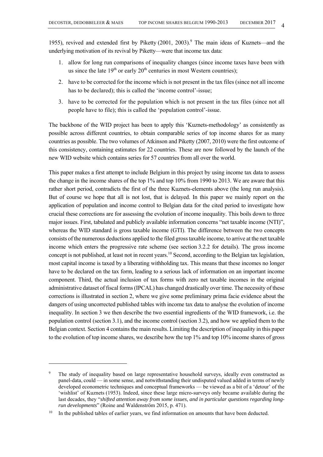1955), revived and extended first by Piketty  $(2001, 2003)$ .<sup>9</sup> The main ideas of Kuznets—and the underlying motivation of its revival by Piketty—were that income tax data:

- 1. allow for long run comparisons of inequality changes (since income taxes have been with us since the late  $19<sup>th</sup>$  or early  $20<sup>th</sup>$  centuries in most Western countries):
- 2. have to be corrected for the income which is not present in the tax files (since not all income has to be declared); this is called the 'income control'-issue;
- 3. have to be corrected for the population which is not present in the tax files (since not all people have to file); this is called the 'population control'-issue.

The backbone of the WID project has been to apply this 'Kuznets-methodology' as consistently as possible across different countries, to obtain comparable series of top income shares for as many countries as possible. The two volumes of Atkinson and Piketty (2007, 2010) were the first outcome of this consistency, containing estimates for 22 countries. These are now followed by the launch of the new WID website which contains series for 57 countries from all over the world.

This paper makes a first attempt to include Belgium in this project by using income tax data to assess the change in the income shares of the top 1% and top 10% from 1990 to 2013. We are aware that this rather short period, contradicts the first of the three Kuznets-elements above (the long run analysis). But of course we hope that all is not lost, that is delayed. In this paper we mainly report on the application of population and income control to Belgian data for the cited period to investigate how crucial these corrections are for assessing the evolution of income inequality. This boils down to three major issues. First, tabulated and publicly available information concerns "net taxable income (NTI)", whereas the WID standard is gross taxable income (GTI). The difference between the two concepts consists of the numerous deductions applied to the filed gross taxable income, to arrive at the net taxable income which enters the progressive rate scheme (see section 3.2.2 for details). The gross income concept is not published, at least not in recent years.<sup>10</sup> Second, according to the Belgian tax legislation, most capital income is taxed by a liberating withholding tax. This means that these incomes no longer have to be declared on the tax form, leading to a serious lack of information on an important income component. Third, the actual inclusion of tax forms with zero net taxable incomes in the original administrative dataset of fiscal forms (IPCAL) has changed drastically over time. The necessity of these corrections is illustrated in section 2, where we give some preliminary prima facie evidence about the dangers of using uncorrected published tables with income tax data to analyse the evolution of income inequality. In section 3 we then describe the two essential ingredients of the WID framework, i.e. the population control (section 3.1), and the income control (section 3.2), and how we applied them to the Belgian context. Section 4 contains the main results. Limiting the description of inequality in this paper to the evolution of top income shares, we describe how the top 1% and top 10% income shares of gross

<sup>9</sup> The study of inequality based on large representative household surveys, ideally even constructed as panel-data, could — in some sense, and notwithstanding their undisputed valued added in terms of newly developed econometric techniques and conceptual frameworks — be viewed as a bit of a 'detour' of the 'wishlist' of Kuznets (1953). Indeed, since these large micro-surveys only became available during the last decades, they "*shifted attention away from some issues, and in particular questions regarding longrun developments*" (Roine and Waldenström 2015, p. 471).

<sup>&</sup>lt;sup>10</sup> In the published tables of earlier years, we find information on amounts that have been deducted.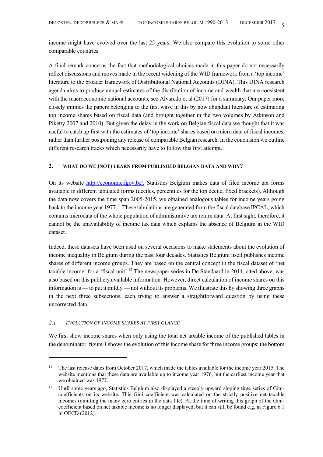income might have evolved over the last 25 years. We also compare this evolution to some other comparable countries.

A final remark concerns the fact that methodological choices made in this paper do not necessarily reflect discussions and moves made in the recent widening of the WID framework from a 'top income' literature to the broader framework of Distributional National Accounts (DINA). This DINA research agenda aims to produce annual estimates of the distribution of income and wealth that are consistent with the macroeconomic national accounts; see Alvaredo et al (2017) for a summary. Our paper more closely mimics the papers belonging to the first wave in this by now abundant literature of estimating top income shares based on fiscal data (and brought together in the two volumes by Atkinson and Piketty 2007 and 2010). But given the delay in the work on Belgian fiscal data we thought that it was useful to catch up first with the estimates of 'top income' shares based on micro data of fiscal incomes, rather than further postponing any release of comparable Belgian research. In the conclusion we outline different research tracks which necessarily have to follow this first attempt.

# **2. WHAT DO WE (NOT) LEARN FROM PUBLISHED BELGIAN DATA AND WHY?**

On its website http://economie.fgov.be/, Statistics Belgium makes data of filed income tax forms available in different tabulated forms (deciles, percentiles for the top decile, fixed brackets). Although the data now covers the time span 2005-2015, we obtained analogous tables for income years going back to the income year 1977.<sup>11</sup> These tabulations are generated from the fiscal database IPCAL, which contains microdata of the whole population of administrative tax return data. At first sight, therefore, it cannot be the unavailability of income tax data which explains the absence of Belgium in the WID dataset.

Indeed, these datasets have been used on several occasions to make statements about the evolution of income inequality in Belgium during the past four decades. Statistics Belgium itself publishes income shares of different income groups. They are based on the central concept in the fiscal dataset of 'net taxable income' for a 'fiscal unit'.<sup>12</sup> The newspaper series in De Standaard in 2014, cited above, was also based on this publicly available information. However, direct calculation of income shares on this information is — to put it mildly — not without its problems. We illustrate this by showing three graphs in the next three subsections, each trying to answer a straightforward question by using these uncorrected data.

# *2.1 EVOLUTION OF INCOME SHARES AT FIRST GLANCE*

l

We first show income shares when only using the total net taxable income of the published tables in the denominator. figure 1 shows the evolution of this income share for three income groups: the bottom

<sup>&</sup>lt;sup>11</sup> The last release dates from October 2017, which made the tables available for the income year 2015. The website mentions that these data are available up to income year 1976, but the earliest income year that we obtained was 1977.

<sup>&</sup>lt;sup>12</sup> Until some years ago, Statistics Belgium also displayed a steeply upward sloping time series of Ginicoefficients on its website. This Gini coefficient was calculated on the strictly positive net taxable incomes (omitting the many zero entries in the data file). At the time of writing this graph of the Ginicoefficient based on net taxable income is no longer displayed, but it can still be found e.g. in Figure 6.1 in OECD (2012).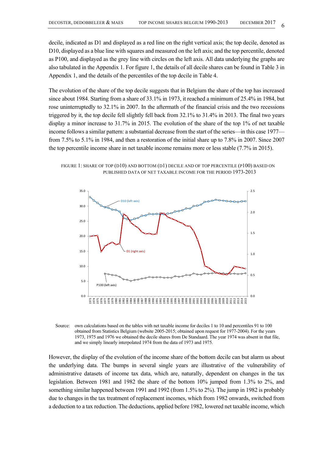decile, indicated as D1 and displayed as a red line on the right vertical axis; the top decile, denoted as D10, displayed as a blue line with squares and measured on the left axis; and the top percentile, denoted as P100, and displayed as the grey line with circles on the left axis. All data underlying the graphs are also tabulated in the Appendix 1. For figure 1, the details of all decile shares can be found in Table 3 in Appendix 1, and the details of the percentiles of the top decile in Table 4.

The evolution of the share of the top decile suggests that in Belgium the share of the top has increased since about 1984. Starting from a share of 33.1% in 1973, it reached a minimum of 25.4% in 1984, but rose uninterruptedly to 32.1% in 2007. In the aftermath of the financial crisis and the two recessions triggered by it, the top decile fell slightly fell back from 32.1% to 31.4% in 2013. The final two years display a minor increase to 31.7% in 2015. The evolution of the share of the top 1% of net taxable income follows a similar pattern: a substantial decrease from the start of the series—in this case 1977 from 7.5% to 5.1% in 1984, and then a restoration of the initial share up to 7.8% in 2007. Since 2007 the top percentile income share in net taxable income remains more or less stable (7.7% in 2015).

FIGURE 1: SHARE OF TOP (D10) AND BOTTOM (D1) DECILE AND OF TOP PERCENTILE (P100) BASED ON PUBLISHED DATA OF NET TAXABLE INCOME FOR THE PERIOD 1973-2013



Source: own calculations based on the tables with net taxable income for deciles 1 to 10 and percentiles 91 to 100 obtained from Statistics Belgium (website 2005-2015; obtained upon request for 1977-2004). For the years 1973, 1975 and 1976 we obtained the decile shares from De Standaard. The year 1974 was absent in that file, and we simply linearly interpolated 1974 from the data of 1973 and 1975.

However, the display of the evolution of the income share of the bottom decile can but alarm us about the underlying data. The bumps in several single years are illustrative of the vulnerability of administrative datasets of income tax data, which are, naturally, dependent on changes in the tax legislation. Between 1981 and 1982 the share of the bottom 10% jumped from 1.3% to 2%, and something similar happened between 1991 and 1992 (from 1.5% to 2%). The jump in 1982 is probably due to changes in the tax treatment of replacement incomes, which from 1982 onwards, switched from a deduction to a tax reduction. The deductions, applied before 1982, lowered net taxable income, which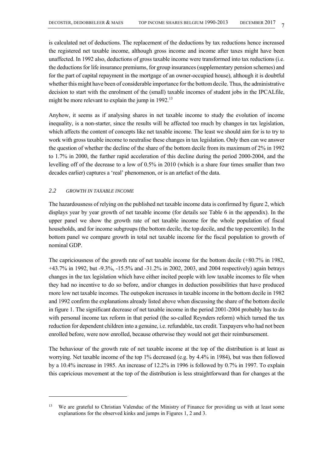is calculated net of deductions. The replacement of the deductions by tax reductions hence increased the registered net taxable income, although gross income and income after taxes might have been unaffected. In 1992 also, deductions of gross taxable income were transformed into tax reductions (i.e. the deductions for life insurance premiums, for group insurances (supplementary pension schemes) and for the part of capital repayment in the mortgage of an owner-occupied house), although it is doubtful whether this might have been of considerable importance for the bottom decile. Thus, the administrative decision to start with the enrolment of the (small) taxable incomes of student jobs in the IPCALfile, might be more relevant to explain the jump in 1992.<sup>13</sup>

Anyhow, it seems as if analysing shares in net taxable income to study the evolution of income inequality, is a non-starter, since the results will be affected too much by changes in tax legislation, which affects the content of concepts like net taxable income. The least we should aim for is to try to work with gross taxable income to neutralise these changes in tax legislation. Only then can we answer the question of whether the decline of the share of the bottom decile from its maximum of 2% in 1992 to 1.7% in 2000, the further rapid acceleration of this decline during the period 2000-2004, and the levelling off of the decrease to a low of 0.5% in 2010 (which is a share four times smaller than two decades earlier) captures a 'real' phenomenon, or is an artefact of the data.

# *2.2 GROWTH IN TAXABLE INCOME*

 $\overline{a}$ 

The hazardousness of relying on the published net taxable income data is confirmed by figure 2, which displays year by year growth of net taxable income (for details see Table 6 in the appendix). In the upper panel we show the growth rate of net taxable income for the whole population of fiscal households, and for income subgroups (the bottom decile, the top decile, and the top percentile). In the bottom panel we compare growth in total net taxable income for the fiscal population to growth of nominal GDP.

The capriciousness of the growth rate of net taxable income for the bottom decile (+80.7% in 1982, +43.7% in 1992, but -9.3%, -15.5% and -31.2% in 2002, 2003, and 2004 respectively) again betrays changes in the tax legislation which have either incited people with low taxable incomes to file when they had no incentive to do so before, and/or changes in deduction possibilities that have produced more low net taxable incomes. The outspoken increases in taxable income in the bottom decile in 1982 and 1992 confirm the explanations already listed above when discussing the share of the bottom decile in figure 1. The significant decrease of net taxable income in the period 2001-2004 probably has to do with personal income tax reform in that period (the so-called Reynders reform) which turned the tax reduction for dependent children into a genuine, i.e. refundable, tax credit. Taxpayers who had not been enrolled before, were now enrolled, because otherwise they would not get their reimbursement.

The behaviour of the growth rate of net taxable income at the top of the distribution is at least as worrying. Net taxable income of the top 1% decreased (e.g. by 4.4% in 1984), but was then followed by a 10.4% increase in 1985. An increase of 12.2% in 1996 is followed by 0.7% in 1997. To explain this capricious movement at the top of the distribution is less straightforward than for changes at the

<sup>&</sup>lt;sup>13</sup> We are grateful to Christian Valenduc of the Ministry of Finance for providing us with at least some explanations for the observed kinks and jumps in Figures 1, 2 and 3.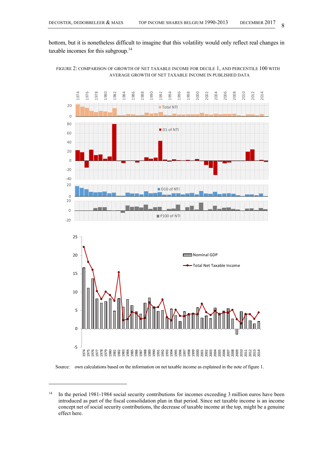bottom, but it is nonetheless difficult to imagine that this volatility would only reflect real changes in taxable incomes for this subgroup.<sup>14</sup>

FIGURE 2: COMPARISON OF GROWTH OF NET TAXABLE INCOME FOR DECILE 1, AND PERCENTILE 100 WITH AVERAGE GROWTH OF NET TAXABLE INCOME IN PUBLISHED DATA



#### Source: own calculations based on the information on net taxable income as explained in the note of figure 1.

l

<sup>&</sup>lt;sup>14</sup> In the period 1981-1984 social security contributions for incomes exceeding 3 million euros have been introduced as part of the fiscal consolidation plan in that period. Since net taxable income is an income concept net of social security contributions, the decrease of taxable income at the top, might be a genuine effect here.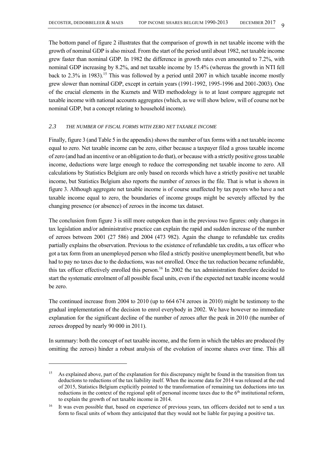The bottom panel of figure 2 illustrates that the comparison of growth in net taxable income with the growth of nominal GDP is also mixed. From the start of the period until about 1982, net taxable income grew faster than nominal GDP. In 1982 the difference in growth rates even amounted to 7.2%, with nominal GDP increasing by 8.2%, and net taxable income by 15.4% (whereas the growth in NTI fell back to 2.3% in 1983).<sup>15</sup> This was followed by a period until 2007 in which taxable income mostly grew slower than nominal GDP, except in certain years (1991-1992, 1995-1996 and 2001-2003). One of the crucial elements in the Kuznets and WID methodology is to at least compare aggregate net taxable income with national accounts aggregates (which, as we will show below, will of course not be nominal GDP, but a concept relating to household income).

# *2.3 THE NUMBER OF FISCAL FORMS WITH ZERO NET TAXABLE INCOME*

Finally, figure 3 (and Table 5 in the appendix) shows the number of tax forms with a net taxable income equal to zero. Net taxable income can be zero, either because a taxpayer filed a gross taxable income of zero (and had an incentive or an obligation to do that), or because with a strictly positive gross taxable income, deductions were large enough to reduce the corresponding net taxable income to zero. All calculations by Statistics Belgium are only based on records which have a strictly positive net taxable income, but Statistics Belgium also reports the number of zeroes in the file. That is what is shown in figure 3. Although aggregate net taxable income is of course unaffected by tax payers who have a net taxable income equal to zero, the boundaries of income groups might be severely affected by the changing presence (or absence) of zeroes in the income tax dataset.

The conclusion from figure 3 is still more outspoken than in the previous two figures: only changes in tax legislation and/or administrative practice can explain the rapid and sudden increase of the number of zeroes between 2001 (27 586) and 2004 (473 982). Again the change to refundable tax credits partially explains the observation. Previous to the existence of refundable tax credits, a tax officer who got a tax form from an unemployed person who filed a strictly positive unemployment benefit, but who had to pay no taxes due to the deductions, was not enrolled. Once the tax reduction became refundable, this tax officer effectively enrolled this person.<sup>16</sup> In 2002 the tax administration therefore decided to start the systematic enrolment of all possible fiscal units, even if the expected net taxable income would be zero.

The continued increase from 2004 to 2010 (up to 664 674 zeroes in 2010) might be testimony to the gradual implementation of the decision to enrol everybody in 2002. We have however no immediate explanation for the significant decline of the number of zeroes after the peak in 2010 (the number of zeroes dropped by nearly 90 000 in 2011).

In summary: both the concept of net taxable income, and the form in which the tables are produced (by omitting the zeroes) hinder a robust analysis of the evolution of income shares over time. This all

<sup>&</sup>lt;sup>15</sup> As explained above, part of the explanation for this discrepancy might be found in the transition from tax deductions to reductions of the tax liability itself. When the income data for 2014 was released at the end of 2015, Statistics Belgium explicitly pointed to the transformation of remaining tax deductions into tax reductions in the context of the regional split of personal income taxes due to the  $6<sup>th</sup>$  institutional reform, to explain the growth of net taxable income in 2014.

<sup>&</sup>lt;sup>16</sup> It was even possible that, based on experience of previous years, tax officers decided not to send a tax form to fiscal units of whom they anticipated that they would not be liable for paying a positive tax.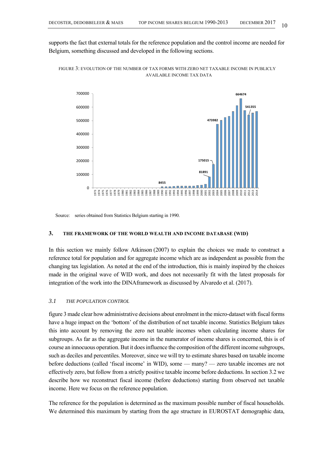supports the fact that external totals for the reference population and the control income are needed for Belgium, something discussed and developed in the following sections.



FIGURE 3: EVOLUTION OF THE NUMBER OF TAX FORMS WITH ZERO NET TAXABLE INCOME IN PUBLICLY AVAILABLE INCOME TAX DATA

Source: series obtained from Statistics Belgium starting in 1990.

#### **3. THE FRAMEWORK OF THE WORLD WEALTH AND INCOME DATABASE (WID)**

In this section we mainly follow Atkinson (2007) to explain the choices we made to construct a reference total for population and for aggregate income which are as independent as possible from the changing tax legislation. As noted at the end of the introduction, this is mainly inspired by the choices made in the original wave of WID work, and does not necessarily fit with the latest proposals for integration of the work into the DINAframework as discussed by Alvaredo et al. (2017).

# *3.1 THE POPULATION CONTROL*

figure 3 made clear how administrative decisions about enrolment in the micro-dataset with fiscal forms have a huge impact on the 'bottom' of the distribution of net taxable income. Statistics Belgium takes this into account by removing the zero net taxable incomes when calculating income shares for subgroups. As far as the aggregate income in the numerator of income shares is concerned, this is of course an innocuous operation. But it does influence the composition of the different income subgroups, such as deciles and percentiles. Moreover, since we will try to estimate shares based on taxable income before deductions (called 'fiscal income' in WID), some — many? — zero taxable incomes are not effectively zero, but follow from a strictly positive taxable income before deductions. In section 3.2 we describe how we reconstruct fiscal income (before deductions) starting from observed net taxable income. Here we focus on the reference population.

The reference for the population is determined as the maximum possible number of fiscal households. We determined this maximum by starting from the age structure in EUROSTAT demographic data,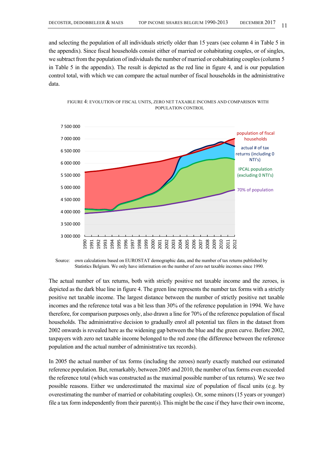and selecting the population of all individuals strictly older than 15 years (see column 4 in Table 5 in the appendix). Since fiscal households consist either of married or cohabitating couples, or of singles, we subtract from the population of individuals the number of married or cohabitating couples (column 5 in Table 5 in the appendix). The result is depicted as the red line in figure 4, and is our population control total, with which we can compare the actual number of fiscal households in the administrative data.





The actual number of tax returns, both with strictly positive net taxable income and the zeroes, is depicted as the dark blue line in figure 4. The green line represents the number tax forms with a strictly positive net taxable income. The largest distance between the number of strictly positive net taxable incomes and the reference total was a bit less than 30% of the reference population in 1994. We have therefore, for comparison purposes only, also drawn a line for 70% of the reference population of fiscal households. The administrative decision to gradually enrol all potential tax filers in the dataset from 2002 onwards is revealed here as the widening gap between the blue and the green curve. Before 2002, taxpayers with zero net taxable income belonged to the red zone (the difference between the reference population and the actual number of administrative tax records).

In 2005 the actual number of tax forms (including the zeroes) nearly exactly matched our estimated reference population. But, remarkably, between 2005 and 2010, the number of tax forms even exceeded the reference total (which was constructed as the maximal possible number of tax returns). We see two possible reasons. Either we underestimated the maximal size of population of fiscal units (e.g. by overestimating the number of married or cohabitating couples). Or, some minors (15 years or younger) file a tax form independently from their parent(s). This might be the case if they have their own income,

Source: own calculations based on EUROSTAT demographic data, and the number of tax returns published by Statistics Belgium. We only have information on the number of zero net taxable incomes since 1990.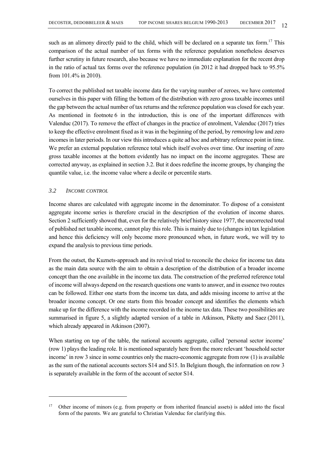such as an alimony directly paid to the child, which will be declared on a separate tax form.<sup>17</sup> This comparison of the actual number of tax forms with the reference population nonetheless deserves further scrutiny in future research, also because we have no immediate explanation for the recent drop in the ratio of actual tax forms over the reference population (in 2012 it had dropped back to 95.5% from 101.4% in 2010).

To correct the published net taxable income data for the varying number of zeroes, we have contented ourselves in this paper with filling the bottom of the distribution with zero gross taxable incomes until the gap between the actual number of tax returns and the reference population was closed for each year. As mentioned in footnote 6 in the introduction, this is one of the important differences with Valenduc (2017). To remove the effect of changes in the practice of enrolment, Valenduc (2017) tries to keep the effective enrolment fixed as it was in the beginning of the period, by *removing* low and zero incomes in later periods. In our view this introduces a quite ad hoc and arbitrary reference point in time. We prefer an external population reference total which itself evolves over time. Our inserting of zero gross taxable incomes at the bottom evidently has no impact on the income aggregates. These are corrected anyway, as explained in section 3.2. But it does redefine the income groups, by changing the quantile value, i.e. the income value where a decile or percentile starts.

# *3.2 INCOME CONTROL*

 $\overline{a}$ 

Income shares are calculated with aggregate income in the denominator. To dispose of a consistent aggregate income series is therefore crucial in the description of the evolution of income shares. Section 2 sufficiently showed that, even for the relatively brief history since 1977, the uncorrected total of published net taxable income, cannot play this role. This is mainly due to (changes in) tax legislation and hence this deficiency will only become more pronounced when, in future work, we will try to expand the analysis to previous time periods.

From the outset, the Kuznets-approach and its revival tried to reconcile the choice for income tax data as the main data source with the aim to obtain a description of the distribution of a broader income concept than the one available in the income tax data. The construction of the preferred reference total of income will always depend on the research questions one wants to answer, and in essence two routes can be followed. Either one starts from the income tax data, and adds missing income to arrive at the broader income concept. Or one starts from this broader concept and identifies the elements which make up for the difference with the income recorded in the income tax data. These two possibilities are summarised in figure 5, a slightly adapted version of a table in Atkinson, Piketty and Saez (2011), which already appeared in Atkinson (2007).

When starting on top of the table, the national accounts aggregate, called 'personal sector income' (row 1) plays the leading role. It is mentioned separately here from the more relevant 'household sector income' in row 3 since in some countries only the macro-economic aggregate from row (1) is available as the sum of the national accounts sectors S14 and S15. In Belgium though, the information on row 3 is separately available in the form of the account of sector S14.

<sup>&</sup>lt;sup>17</sup> Other income of minors (e.g. from property or from inherited financial assets) is added into the fiscal form of the parents. We are grateful to Christian Valenduc for clarifying this.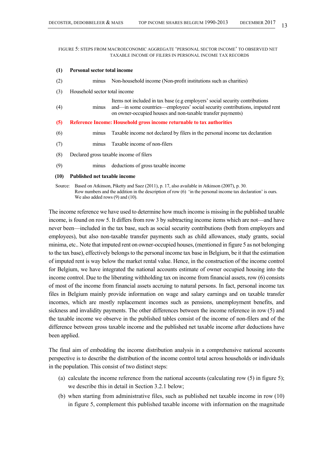FIGURE 5: STEPS FROM MACROECONOMIC AGGREGATE 'PERSONAL SECTOR INCOME' TO OBSERVED NET TAXABLE INCOME OF FILERS IN PERSONAL INCOME TAX RECORDS

#### **(1) Personal sector total income**

| (2)  | minus                               | Non-household income (Non-profit institutions such as charities)                                                                                                                                                            |
|------|-------------------------------------|-----------------------------------------------------------------------------------------------------------------------------------------------------------------------------------------------------------------------------|
| (3)  | Household sector total income       |                                                                                                                                                                                                                             |
| (4)  | minus                               | Items not included in tax base (e.g employers' social security contributions<br>and—in some countries—employees' social security contributions, imputed rent<br>on owner-occupied houses and non-taxable transfer payments) |
| (5)  |                                     | Reference Income: Household gross income returnable to tax authorities                                                                                                                                                      |
| (6)  | minus                               | Taxable income not declared by filers in the personal income tax declaration                                                                                                                                                |
| (7)  | minus                               | Taxable income of non-filers                                                                                                                                                                                                |
| (8)  |                                     | Declared gross taxable income of filers                                                                                                                                                                                     |
| (9)  | minus                               | deductions of gross taxable income                                                                                                                                                                                          |
| (10) | <b>Published net taxable income</b> |                                                                                                                                                                                                                             |

Source: Based on Atkinson, Piketty and Saez (2011), p. 17, also available in Atkinson (2007), p. 30. Row numbers and the addition in the description of row (6) 'in the personal income tax declaration' is ours. We also added rows (9) and (10).

The income reference we have used to determine how much income is missing in the published taxable income, is found on row 5. It differs from row 3 by subtracting income items which are not—and have never been—included in the tax base, such as social security contributions (both from employers and employees), but also non-taxable transfer payments such as child allowances, study grants, social minima, etc.. Note that imputed rent on owner-occupied houses, (mentioned in figure 5 as not belonging to the tax base), effectively belongs to the personal income tax base in Belgium, be it that the estimation of imputed rent is way below the market rental value. Hence, in the construction of the income control for Belgium, we have integrated the national accounts estimate of owner occupied housing into the income control. Due to the liberating withholding tax on income from financial assets, row (6) consists of most of the income from financial assets accruing to natural persons. In fact, personal income tax files in Belgium mainly provide information on wage and salary earnings and on taxable transfer incomes, which are mostly replacement incomes such as pensions, unemployment benefits, and sickness and invalidity payments. The other differences between the income reference in row (5) and the taxable income we observe in the published tables consist of the income of non-filers and of the difference between gross taxable income and the published net taxable income after deductions have been applied.

The final aim of embedding the income distribution analysis in a comprehensive national accounts perspective is to describe the distribution of the income control total across households or individuals in the population. This consist of two distinct steps:

- (a) calculate the income reference from the national accounts (calculating row (5) in figure 5); we describe this in detail in Section 3.2.1 below;
- (b) when starting from administrative files, such as published net taxable income in row (10) in figure 5, complement this published taxable income with information on the magnitude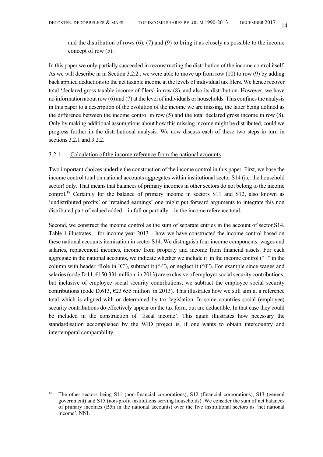and the distribution of rows  $(6)$ ,  $(7)$  and  $(9)$  to bring it as closely as possible to the income concept of row (5).

In this paper we only partially succeeded in reconstructing the distribution of the income control itself. As we will describe in in Section 3.2.2., we were able to move up from row (10) to row (9) by adding back applied deductions to the net taxable income at the levels of individual tax filers. We hence recover total 'declared gross taxable income of filers' in row (8), and also its distribution. However, we have no information about row (6) and (7) at the level of individuals or households. This confines the analysis in this paper to a description of the evolution of the income we are missing, the latter being defined as the difference between the income control in row (5) and the total declared gross income in row (8). Only by making additional assumptions about how this missing income might be distributed, could we progress further in the distributional analysis. We now discuss each of these two steps in turn in sections 3.2.1 and 3.2.2.

# 3.2.1 Calculation of the income reference from the national accounts

Two important choices underlie the construction of the income control in this paper. First, we base the income control total on national accounts aggregates within institutional sector S14 (i.e. the household sector) only. That means that balances of primary incomes in other sectors do not belong to the income control.<sup>18</sup> Certainly for the balance of primary income in sectors S11 and S12, also known as 'undistributed profits' or 'retained earnings' one might put forward arguments to integrate this non distributed part of valued added – in full or partially – in the income reference total.

Second, we construct the income control as the sum of separate entries in the account of sector S14. Table 1 illustrates – for income year 2013 – how we have constructed the income control based on these national accounts itemisation in sector S14. We distinguish four income components: wages and salaries, replacement incomes, income from property and income from financial assets. For each aggregate in the national accounts, we indicate whether we include it in the income control ("+" in the column with header 'Role in IC'), subtract it ("-"), or neglect it ("0"). For example since wages and salaries (code D.11,  $\epsilon$ 150 331 million in 2013) are exclusive of employer social security contributions, but inclusive of employee social security contributions, we subtract the employee social security contributions (code D.613,  $\epsilon$ 23 655 million in 2013). This illustrates how we still aim at a reference total which is aligned with or determined by tax legislation. In some countries social (employee) security contributions do effectively appear on the tax form, but are deductible. In that case they could be included in the construction of 'fiscal income'. This again illustrates how necessary the standardisation accomplished by the WID project is, if one wants to obtain intercountry and intertemporal comparability.

<sup>&</sup>lt;sup>18</sup> The other sectors being S11 (non-financial corporations), S12 (financial corporations), S13 (general government) and S15 (non-profit institutions serving households). We consider the sum of net balances of primary incomes (B5n in the national accounts) over the five institutional sectors as 'net national income', NNI.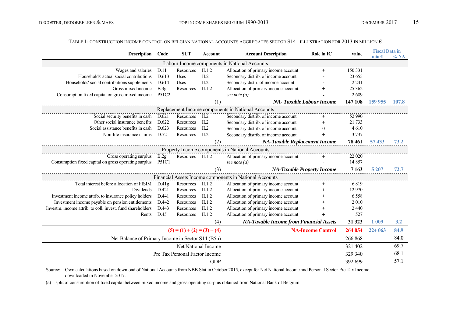#### Table 1: construction income control on belgian national accounts aggregates sector S14 - illustration for 2013 in million  $\epsilon$

| <b>Description</b> Code                                    |              | <b>SUT</b>                    | Account    | <b>Account Description</b>                              | Role in IC               | value    | <b>Fiscal Data in</b><br>mio $\epsilon$ | % NA  |
|------------------------------------------------------------|--------------|-------------------------------|------------|---------------------------------------------------------|--------------------------|----------|-----------------------------------------|-------|
|                                                            |              |                               |            | Labour Income components in National Accounts           |                          |          |                                         |       |
| Wages and salaries                                         | D.11         | Resources                     | II.1.2     | Allocation of primary income account                    | $+$                      | 150 331  |                                         |       |
| Households' actual social contributions                    | D.613        | Uses                          | II.2       | Secondary distrib. of income account                    |                          | 23 655   |                                         |       |
| Households' social contributions supplements               | D.614        | Uses                          | II.2       | Secondary distri. of income account                     |                          | 2 2 4 1  |                                         |       |
| Gross mixed income                                         | B.3g         | Resources                     | II.1.2     | Allocation of primary income account                    | $+$                      | 25 3 6 2 |                                         |       |
| Consumption fixed capital on gross mixed income            | P51C2        |                               |            | see note $(a)$                                          |                          | 2689     |                                         |       |
|                                                            |              |                               | (1)        | <b>NA-Taxable Labour Income</b>                         |                          | 147 108  | 159 955                                 | 107.8 |
|                                                            |              |                               |            | Replacement Income components in National Accounts      |                          |          |                                         |       |
| Social security benefits in cash                           | D.621        | Resources                     | II.2       | Secondary distrib. of income account                    |                          | 52 990   |                                         |       |
| Other social insurance benefits                            | D.622        | Resources                     | II.2       | Secondary distrib. of income account                    | $^{+}$                   | 21 733   |                                         |       |
| Social assistance benefits in cash                         | D.623        | Resources                     | $\Pi.2$    | Secondary distrib. of income account                    | $\bf{0}$                 | 4610     |                                         |       |
| Non-life insurance claims                                  | D.72         | Resources                     | II.2       | Secondary distrib. of income account                    | $+$                      | 3 7 3 7  |                                         |       |
|                                                            |              |                               | (2)        | NA-Taxable Replacement Income                           |                          | 78 461   | 57433                                   | 73.2  |
|                                                            |              |                               |            | Property Income components in National Accounts         |                          |          |                                         |       |
| Gross operating surplus                                    | B.2g         | Resources II.1.2              |            | Allocation of primary income account                    |                          | 22 0 20  |                                         |       |
| Consumption fixed capital on gross operating surplus       | <b>P51C1</b> |                               |            | see note $(a)$                                          |                          | 14 8 5 7 |                                         |       |
|                                                            |              |                               | (3)        | <b>NA-Taxable Property Income</b>                       |                          | 7 1 6 3  | 5 207                                   | 72.7  |
|                                                            |              |                               |            | Financial Assets Income components in National Accounts |                          |          |                                         |       |
| Total interest before allocation of FISIM D.41g            |              | Resources                     | II.1.2     | Allocation of primary income account                    | $+$                      | 6819     |                                         |       |
| Dividends                                                  | D.421        | Resources                     | II.1.2     | Allocation of primary income account                    | $^{+}$                   | 12 970   |                                         |       |
| Investment income attrib. to insurance policy holders      | D.441        | Resources                     | II.1.2     | Allocation of primary income account                    | $^{+}$                   | 6 5 5 8  |                                         |       |
| Investment income payable on pension entitlements          | D.442        | Resources                     | II.1.2     | Allocation of primary income account                    | $\ddot{}$                | 2010     |                                         |       |
| Investm. income attrib. to coll. invest. fund shareholders | D.443        | Resources                     | II.1.2     | Allocation of primary income account                    | $^{+}$                   | 2 4 4 0  |                                         |       |
| Rents                                                      | D.45         | Resources                     | II.1.2     | Allocation of primary income account                    | $+$                      | 527      |                                         |       |
|                                                            |              |                               | (4)        | <b>NA-Taxable Income from Financial Assets</b>          |                          | 31 323   | 1 0 0 9                                 | 3.2   |
|                                                            |              | $(5) = (1) + (2) = (3) + (4)$ |            |                                                         | <b>NA-Income Control</b> | 264 054  | 224 063                                 | 84.9  |
| Net Balance of Primary Income in Sector S14 (B5n)          |              |                               |            |                                                         |                          | 266 868  |                                         | 84.0  |
| Net National Income                                        |              |                               |            |                                                         |                          |          |                                         | 69.7  |
| Pre Tax Personal Factor Income                             | 329 340      |                               | 68.1       |                                                         |                          |          |                                         |       |
|                                                            |              |                               | <b>GDP</b> |                                                         |                          | 392 699  |                                         | 57.1  |
|                                                            |              |                               |            |                                                         |                          |          |                                         |       |

Source: Own calculations based on download of National Accounts from NBB.Stat in October 2015, except for Net National Income and Personal Sector Pre Tax Income, downloaded in November 2017.

(a) split of consumption of fixed capital between mixed income and gross operating surplus obtained from National Bank of Belgium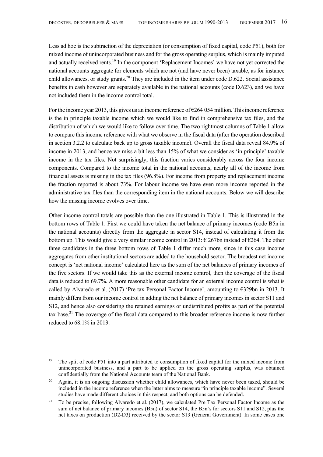Less ad hoc is the subtraction of the depreciation (or consumption of fixed capital, code P51), both for mixed income of unincorporated business and for the gross operating surplus, which is mainly imputed and actually received rents.<sup>19</sup> In the component 'Replacement Incomes' we have not yet corrected the national accounts aggregate for elements which are not (and have never been) taxable, as for instance child allowances, or study grants.<sup>20</sup> They are included in the item under code D.622. Social assistance benefits in cash however are separately available in the national accounts (code D.623), and we have not included them in the income control total.

For the income year 2013, this gives us an income reference of €264 054 million. This income reference is the in principle taxable income which we would like to find in comprehensive tax files, and the distribution of which we would like to follow over time. The two rightmost columns of Table 1 allow to compare this income reference with what we observe in the fiscal data (after the operation described in section 3.2.2 to calculate back up to gross taxable income). Overall the fiscal data reveal 84.9% of income in 2013, and hence we miss a bit less than 15% of what we consider as 'in principle' taxable income in the tax files. Not surprisingly, this fraction varies considerably across the four income components. Compared to the income total in the national accounts, nearly all of the income from financial assets is missing in the tax files (96.8%). For income from property and replacement income the fraction reported is about 73%. For labour income we have even more income reported in the administrative tax files than the corresponding item in the national accounts. Below we will describe how the missing income evolves over time.

Other income control totals are possible than the one illustrated in Table 1. This is illustrated in the bottom rows of Table 1. First we could have taken the net balance of primary incomes (code B5n in the national accounts) directly from the aggregate in sector S14, instead of calculating it from the bottom up. This would give a very similar income control in 2013:  $\epsilon$  267bn instead of  $\epsilon$ 264. The other three candidates in the three bottom rows of Table 1 differ much more, since in this case income aggregates from other institutional sectors are added to the household sector. The broadest net income concept is 'net national income' calculated here as the sum of the net balances of primary incomes of the five sectors. If we would take this as the external income control, then the coverage of the fiscal data is reduced to 69.7%. A more reasonable other candidate for an external income control is what is called by Alvaredo et al. (2017) 'Pre tax Personal Factor Income', amounting to  $\epsilon$ 329bn in 2013. It mainly differs from our income control in adding the net balance of primary incomes in sector S11 and S12, and hence also considering the retained earnings or undistributed profits as part of the potential tax base.21 The coverage of the fiscal data compared to this broader reference income is now further reduced to 68.1% in 2013.

<sup>&</sup>lt;sup>19</sup> The split of code P51 into a part attributed to consumption of fixed capital for the mixed income from unincorporated business, and a part to be applied on the gross operating surplus, was obtained confidentially from the National Accounts team of the National Bank.

<sup>&</sup>lt;sup>20</sup> Again, it is an ongoing discussion whether child allowances, which have never been taxed, should be included in the income reference when the latter aims to measure "in principle taxable income". Several studies have made different choices in this respect, and both options can be defended.

<sup>&</sup>lt;sup>21</sup> To be precise, following Alvaredo et al. (2017), we calculated Pre Tax Personal Factor Income as the sum of net balance of primary incomes (B5n) of sector S14, the B5n's for sectors S11 and S12, plus the net taxes on production (D2-D3) received by the sector S13 (General Government). In some cases one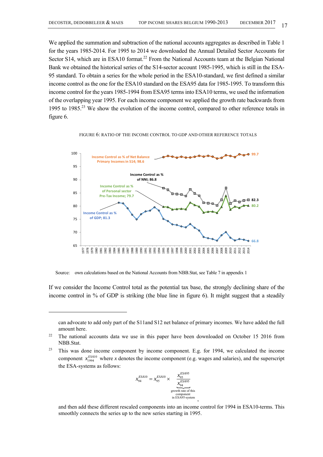We applied the summation and subtraction of the national accounts aggregates as described in Table 1 for the years 1985-2014. For 1995 to 2014 we downloaded the Annual Detailed Sector Accounts for Sector S14, which are in ESA10 format.<sup>22</sup> From the National Accounts team at the Belgian National Bank we obtained the historical series of the S14-sector account 1985-1995, which is still in the ESA-95 standard. To obtain a series for the whole period in the ESA10-standard, we first defined a similar income control as the one for the ESA10 standard on the ESA95 data for 1985-1995. To transform this income control for the years 1985-1994 from ESA95 terms into ESA10 terms, we used the information of the overlapping year 1995. For each income component we applied the growth rate backwards from 1995 to 1985.<sup>23</sup> We show the evolution of the income control, compared to other reference totals in figure 6.



#### FIGURE 6: RATIO OF THE INCOME CONTROL TO GDP AND OTHER REFERENCE TOTALS

Source: own calculations based on the National Accounts from NBB.Stat, see Table 7 in appendix 1

If we consider the Income Control total as the potential tax base, the strongly declining share of the income control in % of GDP is striking (the blue line in figure 6). It might suggest that a steadily

 $2<sup>23</sup>$  This was done income component by income component. E.g. for 1994, we calculated the income component  $x_{1994}^{ESA10}$  where *x* denotes the income component (e.g. wages and salaries), and the superscript the ESA-systems as follows:

$$
x_{94}^{ESA10} = x_{95}^{ESA10} \times \underbrace{\frac{x_{95}^{ESA95}}{x_{94}^{ESA95}}}_{\substack{\text{growth rate of this component} \\ \text{in ESA95-system}}}
$$

and then add these different rescaled components into an income control for 1994 in ESA10-terms. This smoothly connects the series up to the new series starting in 1995.

,

can advocate to add only part of the S11and S12 net balance of primary incomes. We have added the full amount here.

<sup>&</sup>lt;sup>22</sup> The national accounts data we use in this paper have been downloaded on October 15 2016 from NBB.Stat.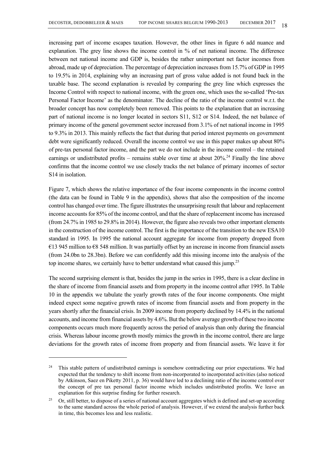increasing part of income escapes taxation. However, the other lines in figure 6 add nuance and explanation. The grey line shows the income control in % of net national income. The difference between net national income and GDP is, besides the rather unimportant net factor incomes from abroad, made up of depreciation. The percentage of depreciation increases from 15.7% of GDP in 1995 to 19.5% in 2014, explaining why an increasing part of gross value added is not found back in the taxable base. The second explanation is revealed by comparing the grey line which expresses the Income Control with respect to national income, with the green one, which uses the so-called 'Pre-tax Personal Factor Income' as the denominator. The decline of the ratio of the income control w.r.t. the broader concept has now completely been removed. This points to the explanation that an increasing part of national income is no longer located in sectors S11, S12 or S14. Indeed, the net balance of primary income of the general government sector increased from 3.1% of net national income in 1995 to 9.3% in 2013. This mainly reflects the fact that during that period interest payments on government debt were significantly reduced. Overall the income control we use in this paper makes up about 80% of pre-tax personal factor income, and the part we do not include in the income control – the retained earnings or undistributed profits – remains stable over time at about  $20\%$ <sup>24</sup> Finally the line above confirms that the income control we use closely tracks the net balance of primary incomes of sector S14 in isolation.

Figure 7, which shows the relative importance of the four income components in the income control (the data can be found in Table 9 in the appendix), shows that also the composition of the income control has changed over time. The figure illustrates the unsurprising result that labour and replacement income accounts for 85% of the income control, and that the share of replacement income has increased (from 24.7% in 1985 to 29.8% in 2014). However, the figure also reveals two other important elements in the construction of the income control. The first is the importance of the transition to the new ESA10 standard in 1995. In 1995 the national account aggregate for income from property dropped from €13 945 million to €8 548 million. It was partially offset by an increase in income from financial assets (from 24.0bn to 28.3bn). Before we can confidently add this missing income into the analysis of the top income shares, we certainly have to better understand what caused this jump.<sup>25</sup>

The second surprising element is that, besides the jump in the series in 1995, there is a clear decline in the share of income from financial assets and from property in the income control after 1995. In Table 10 in the appendix we tabulate the yearly growth rates of the four income components. One might indeed expect some negative growth rates of income from financial assets and from property in the years shortly after the financial crisis. In 2009 income from property declined by 14.4% in the national accounts, and income from financial assets by 4.6%. But the below average growth of these two income components occurs much more frequently across the period of analysis than only during the financial crisis. Whereas labour income growth mostly mimics the growth in the income control, there are large deviations for the growth rates of income from property and from financial assets. We leave it for

<sup>&</sup>lt;sup>24</sup> This stable pattern of undistributed earnings is somehow contradicting our prior expectations. We had expected that the tendency to shift income from non-incorporated to incorporated activities (also noticed by Atkinson, Saez en Piketty 2011, p. 36) would have led to a declining ratio of the income control over the concept of pre tax personal factor income which includes undistributed profits. We leave an explanation for this surprise finding for further research.

<sup>&</sup>lt;sup>25</sup> Or, still better, to dispose of a series of national account aggregates which is defined and set-up according to the same standard across the whole period of analysis. However, if we extend the analysis further back in time, this becomes less and less realistic.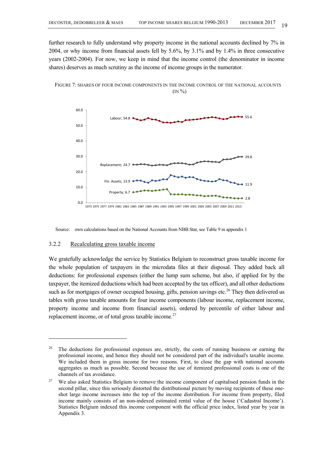further research to fully understand why property income in the national accounts declined by 7% in 2004, or why income from financial assets fell by 5.6%, by 3.1% and by 1.4% in three consecutive years (2002-2004). For now, we keep in mind that the income control (the denominator in income shares) deserves as much scrutiny as the income of income groups in the numerator.



FIGURE 7: SHARES OF FOUR INCOME COMPONENTS IN THE INCOME CONTROL OF THE NATIONAL ACCOUNTS  $(N\%)$ 

Source: own calculations based on the National Accounts from NBB.Stat, see Table 9 in appendix 1

# 3.2.2 Recalculating gross taxable income

l

We gratefully acknowledge the service by Statistics Belgium to reconstruct gross taxable income for the whole population of taxpayers in the microdata files at their disposal. They added back all deductions: for professional expenses (either the lump sum scheme, but also, if applied for by the taxpayer, the itemized deductions which had been accepted by the tax officer), and all other deductions such as for mortgages of owner occupied housing, gifts, pension savings etc.<sup>26</sup> They then delivered us tables with gross taxable amounts for four income components (labour income, replacement income, property income and income from financial assets), ordered by percentile of either labour and replacement income, or of total gross taxable income. $27$ 

<sup>&</sup>lt;sup>26</sup> The deductions for professional expenses are, strictly, the costs of running business or earning the professional income, and hence they should not be considered part of the individual's taxable income. We included them in gross income for two reasons. First, to close the gap with national accounts aggregates as much as possible. Second because the use of itemized professional costs is one of the channels of tax avoidance.

<sup>&</sup>lt;sup>27</sup> We also asked Statistics Belgium to remove the income component of capitalised pension funds in the second pillar, since this seriously distorted the distributional picture by moving recipients of these oneshot large income increases into the top of the income distribution. For income from property, filed income mainly consists of an non-indexed estimated rental value of the house ('Cadastral Income'). Statistics Belgium indexed this income component with the official price index, listed year by year in Appendix 3.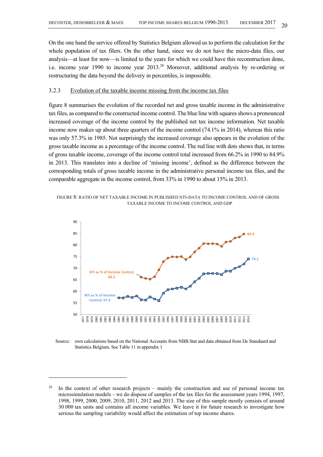On the one hand the service offered by Statistics Belgium allowed us to perform the calculation for the whole population of tax filers. On the other hand, since we do not have the micro-data files, our analysis—at least for now—is limited to the years for which we could have this reconstruction done, i.e. income year 1990 to income year 2013.<sup>28</sup> Moreover, additional analysis by re-ordering or restructuring the data beyond the delivery in percentiles, is impossible.

# 3.2.3 Evolution of the taxable income missing from the income tax files

figure 8 summarises the evolution of the recorded net and gross taxable income in the administrative tax files, as compared to the constructed income control. The blue line with squares shows a pronounced increased coverage of the income control by the published net tax income information. Net taxable income now makes up about three quarters of the income control (74.1% in 2014), whereas this ratio was only 57.3% in 1985. Not surprisingly the increased coverage also appears in the evolution of the gross taxable income as a percentage of the income control. The red line with dots shows that, in terms of gross taxable income, coverage of the income control total increased from 66.2% in 1990 to 84.9% in 2013. This translates into a decline of 'missing income', defined as the difference between the corresponding totals of gross taxable income in the administrative personal income tax files, and the comparable aggregate in the income control, from 33% in 1990 to about 15% in 2013.





Source: own calculations based on the National Accounts from NBB.Stat and data obtained from De Standaard and Statistics Belgium. See Table 11 in appendix 1

<sup>&</sup>lt;sup>28</sup> In the context of other research projects – mainly the construction and use of personal income tax microsimulation models – we do dispose of samples of the tax files for the assessment years 1994, 1997, 1998, 1999, 2000, 2009, 2010, 2011, 2012 and 2013. The size of this sample mostly consists of around 30 000 tax units and contains all income variables. We leave it for future research to investigate how serious the sampling variability would affect the estimation of top income shares.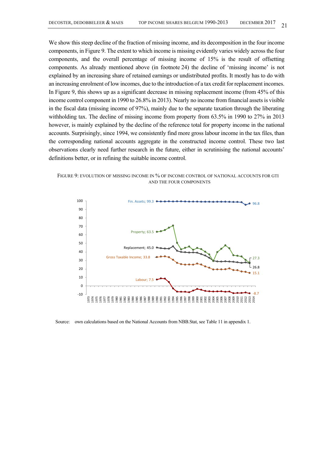We show this steep decline of the fraction of missing income, and its decomposition in the four income components, in Figure 9. The extent to which income is missing evidently varies widely across the four components, and the overall percentage of missing income of 15% is the result of offsetting components. As already mentioned above (in footnote 24) the decline of 'missing income' is not explained by an increasing share of retained earnings or undistributed profits. It mostly has to do with an increasing enrolment of low incomes, due to the introduction of a tax credit for replacement incomes. In Figure 9, this shows up as a significant decrease in missing replacement income (from 45% of this income control component in 1990 to 26.8% in 2013). Nearly no income from financial assets is visible in the fiscal data (missing income of 97%), mainly due to the separate taxation through the liberating withholding tax. The decline of missing income from property from 63.5% in 1990 to 27% in 2013 however, is mainly explained by the decline of the reference total for property income in the national accounts. Surprisingly, since 1994, we consistently find more gross labour income in the tax files, than the corresponding national accounts aggregate in the constructed income control. These two last observations clearly need further research in the future, either in scrutinising the national accounts' definitions better, or in refining the suitable income control.





Source: own calculations based on the National Accounts from NBB.Stat, see Table 11 in appendix 1.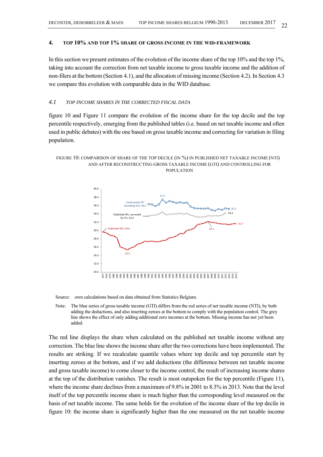#### **4. TOP 10% AND TOP 1% SHARE OF GROSS INCOME IN THE WID-FRAMEWORK**

In this section we present estimates of the evolution of the income share of the top 10% and the top 1%, taking into account the correction from net taxable income to gross taxable income and the addition of non-filers at the bottom (Section 4.1), and the allocation of missing income (Section 4.2). In Section 4.3 we compare this evolution with comparable data in the WID database.

### *4.1 TOP INCOME SHARES IN THE CORRECTED FISCAL DATA*

figure 10 and Figure 11 compare the evolution of the income share for the top decile and the top percentile respectively, emerging from the published tables (i.e. based on net taxable income and often used in public debates) with the one based on gross taxable income and correcting for variation in filing population.

#### FIGURE 10: COMPARISON OF SHARE OF THE TOP DECILE (IN %) IN PUBLISHED NET TAXABLE INCOME (NTI) AND AFTER RECONSTRUCTING GROSS TAXABLE INCOME (GTI) AND CONTROLLING FOR POPULATION



Source: own calculations based on data obtained from Statistics Belgium.

Note: The blue series of gross taxable income (GTI) differs from the red series of net taxable income (NTI), by both adding the deductions, and also inserting zeroes at the bottom to comply with the population control. The grey line shows the effect of only adding additional zero incomes at the bottom. Missing income has not yet been added.

The red line displays the share when calculated on the published net taxable income without any correction. The blue line shows the income share after the two corrections have been implemented. The results are striking. If we recalculate quantile values where top decile and top percentile start by inserting zeroes at the bottom, and if we add deductions (the difference between net taxable income and gross taxable income) to come closer to the income control, the result of increasing income shares at the top of the distribution vanishes. The result is most outspoken for the top percentile (Figure 11), where the income share declines from a maximum of 9.8% in 2001 to 8.3% in 2013. Note that the level itself of the top percentile income share is much higher than the corresponding level measured on the basis of net taxable income. The same holds for the evolution of the income share of the top decile in figure 10: the income share is significantly higher than the one measured on the net taxable income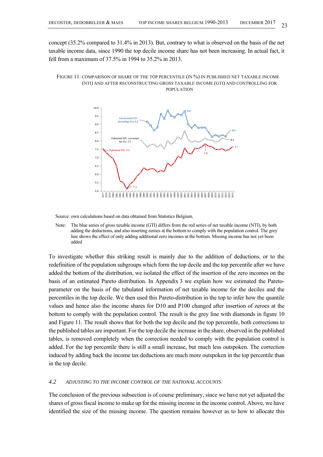concept (35.2% compared to 31.4% in 2013). But, contrary to what is observed on the basis of the net taxable income data, since 1990 the top decile income share has not been increasing. In actual fact, it fell from a maximum of 37.5% in 1994 to 35.2% in 2013.

#### FIGURE 11: COMPARISON OF SHARE OF THE TOP PERCENTILE (IN %) IN PUBLISHED NET TAXABLE INCOME (NTI) AND AFTER RECONSTRUCTING GROSS TAXABLE INCOME (GTI) AND CONTROLLING FOR POPULATION



Source: own calculations based on data obtained from Statistics Belgium.

Note: The blue series of gross taxable income (GTI) differs from the red series of net taxable income (NTI), by both adding the deductions, and also inserting zeroes at the bottom to comply with the population control. The grey line shows the effect of only adding additional zero incomes at the bottom. Missing income has not yet been added

To investigate whether this striking result is mainly due to the addition of deductions, or to the redefinition of the population subgroups which form the top decile and the top percentile after we have added the bottom of the distribution, we isolated the effect of the insertion of the zero incomes on the basis of an estimated Pareto distribution. In Appendix 3 we explain how we estimated the Paretoparameter on the basis of the tabulated information of net taxable income for the deciles and the percentiles in the top decile. We then used this Pareto-distribution in the top to infer how the quantile values and hence also the income shares for D10 and P100 changed after insertion of zeroes at the bottom to comply with the population control. The result is the grey line with diamonds in figure 10 and Figure 11. The result shows that for both the top decile and the top percentile, both corrections to the published tables are important. For the top decile the increase in the share, observed in the published tables, is removed completely when the correction needed to comply with the population control is added. For the top percentile there is still a small increase, but much less outspoken. The correction induced by adding back the income tax deductions are much more outspoken in the top percentile than in the top decile.

# *4.2 ADJUSTING TO THE INCOME CONTROL OF THE NATIONAL ACCOUNTS*

The conclusion of the previous subsection is of course preliminary, since we have not yet adjusted the shares of gross fiscal income to make up for the missing income in the income control. Above, we have identified the size of the missing income. The question remains however as to how to allocate this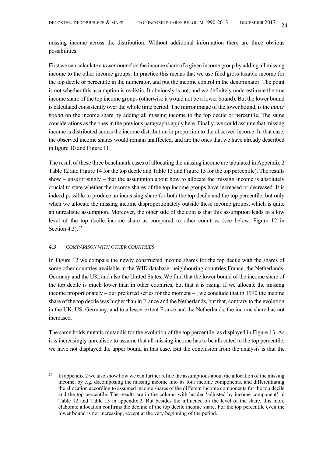missing income across the distribution. Without additional information there are three obvious possibilities.

First we can calculate a *lower bound* on the income share of a given income group by adding all missing income to the other income groups. In practice this means that we use filed gross taxable income for the top decile or percentile in the numerator, and put the income control in the denominator. The point is not whether this assumption is realistic. It obviously is not, and we definitely underestimate the true income share of the top income groups (otherwise it would not be a lower bound). But the lower bound is calculated consistently over the whole time period. The mirror image of the lower bound, is the *upper bound* on the income share by adding all missing income to the top decile or percentile. The same considerations as the ones in the previous paragraphs apply here. Finally, we could assume that missing income is distributed across the income distribution in proportion to the observed income. In that case, the observed income shares would remain unaffected, and are the ones that we have already described in figure 10 and Figure 11.

The result of these three benchmark cases of allocating the missing income are tabulated in Appendix 2 Table 12 and Figure 14 for the top decile and Table 13 and Figure 15 for the top percentile). The results show – unsurprisingly – that the assumption about how to allocate the missing income is absolutely crucial to state whether the income shares of the top income groups have increased or decreased. It is indeed possible to produce an increasing share for both the top decile and the top percentile, but only when we allocate the missing income disproportionately outside these income groups, which is quite an unrealistic assumption. Moreover, the other side of the coin is that this assumption leads to a low level of the top decile income share as compared to other countries (see below, Figure 12 in Section 4.3). $29$ 

# *4.3 COMPARISON WITH OTHER COUNTRIES*

l

In Figure 12 we compare the newly constructed income shares for the top decile with the shares of some other countries available in the WID database: neighbouring countries France, the Netherlands, Germany and the UK, and also the United States. We find that the lower bound of the income share of the top decile is much lower than in other countries, but that it is rising. If we allocate the missing income proportionately – our preferred series for the moment – , we conclude that in 1990 the income share of the top decile was higher than in France and the Netherlands, but that, contrary to the evolution in the UK, US, Germany, and to a lesser extent France and the Netherlands, the income share has not increased.

The same holds mutatis mutandis for the evolution of the top percentile, as displayed in Figure 13. As it is increasingly unrealistic to assume that all missing income has to be allocated to the top percentile, we have not displayed the upper bound in this case. But the conclusion from the analysis is that the

<sup>&</sup>lt;sup>29</sup> In appendix 2 we also show how we can further refine the assumptions about the allocation of the missing income, by e.g. decomposing the missing income into its four income components, and differentiating the allocation according to assumed income shares of the different income components for the top decile and the top percentile. The results are in the column with header 'adjusted by income component' in Table 12 and Table 13 in appendix 2. But besides the influence on the level of the share, this more elaborate allocation confirms the decline of the top decile income share. For the top percentile even the lower bound is not increasing, except at the very beginning of the period.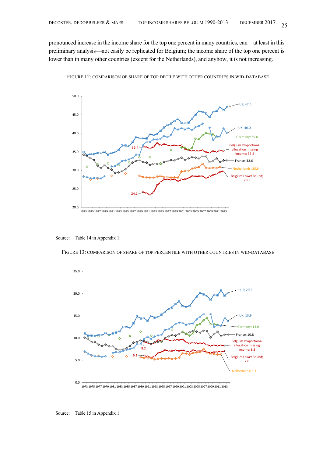pronounced increase in the income share for the top one percent in many countries, can—at least in this preliminary analysis—not easily be replicated for Belgium; the income share of the top one percent is lower than in many other countries (except for the Netherlands), and anyhow, it is not increasing.



FIGURE 12: COMPARISON OF SHARE OF TOP DECILE WITH OTHER COUNTRIES IN WID-DATABASE

Source: Table 14 in Appendix 1

FIGURE 13: COMPARISON OF SHARE OF TOP PERCENTILE WITH OTHER COUNTRIES IN WID-DATABASE



Source: Table 15 in Appendix 1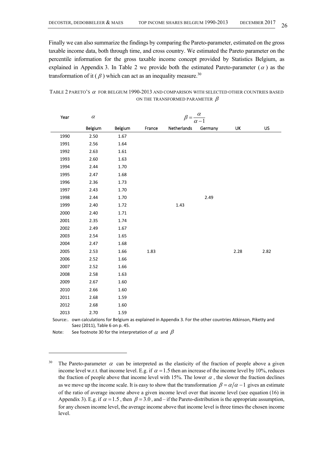Finally we can also summarize the findings by comparing the Pareto-parameter, estimated on the gross taxable income data, both through time, and cross country. We estimated the Pareto parameter on the percentile information for the gross taxable income concept provided by Statistics Belgium, as explained in Appendix 3. In Table 2 we provide both the estimated Pareto-parameter  $(\alpha)$  as the transformation of it ( $\beta$ ) which can act as an inequality measure.<sup>30</sup>

# TABLE 2 PARETO'S  $\alpha$  for BELGIUM 1990-2013 AND COMPARISON WITH SELECTED OTHER COUNTRIES BASED ON THE TRANSFORMED PARAMETER  $\beta$

| Year | $\alpha$                       |         | $\beta = \frac{\alpha}{\alpha}$ |                                                                                                                 |         |      |           |  |  |  |  |
|------|--------------------------------|---------|---------------------------------|-----------------------------------------------------------------------------------------------------------------|---------|------|-----------|--|--|--|--|
|      | Belgium                        | Belgium | France                          | Netherlands                                                                                                     | Germany | UK   | <b>US</b> |  |  |  |  |
| 1990 | 2.50                           | 1.67    |                                 |                                                                                                                 |         |      |           |  |  |  |  |
| 1991 | 2.56                           | 1.64    |                                 |                                                                                                                 |         |      |           |  |  |  |  |
| 1992 | 2.63                           | 1.61    |                                 |                                                                                                                 |         |      |           |  |  |  |  |
| 1993 | 2.60                           | 1.63    |                                 |                                                                                                                 |         |      |           |  |  |  |  |
| 1994 | 2.44                           | 1.70    |                                 |                                                                                                                 |         |      |           |  |  |  |  |
| 1995 | 2.47                           | 1.68    |                                 |                                                                                                                 |         |      |           |  |  |  |  |
| 1996 | 2.36                           | 1.73    |                                 |                                                                                                                 |         |      |           |  |  |  |  |
| 1997 | 2.43                           | 1.70    |                                 |                                                                                                                 |         |      |           |  |  |  |  |
| 1998 | 2.44                           | 1.70    |                                 |                                                                                                                 | 2.49    |      |           |  |  |  |  |
| 1999 | 2.40                           | 1.72    |                                 | 1.43                                                                                                            |         |      |           |  |  |  |  |
| 2000 | 2.40                           | 1.71    |                                 |                                                                                                                 |         |      |           |  |  |  |  |
| 2001 | 2.35                           | 1.74    |                                 |                                                                                                                 |         |      |           |  |  |  |  |
| 2002 | 2.49                           | 1.67    |                                 |                                                                                                                 |         |      |           |  |  |  |  |
| 2003 | 2.54                           | 1.65    |                                 |                                                                                                                 |         |      |           |  |  |  |  |
| 2004 | 2.47                           | 1.68    |                                 |                                                                                                                 |         |      |           |  |  |  |  |
| 2005 | 2.53                           | 1.66    | 1.83                            |                                                                                                                 |         | 2.28 | 2.82      |  |  |  |  |
| 2006 | 2.52                           | 1.66    |                                 |                                                                                                                 |         |      |           |  |  |  |  |
| 2007 | 2.52                           | 1.66    |                                 |                                                                                                                 |         |      |           |  |  |  |  |
| 2008 | 2.58                           | 1.63    |                                 |                                                                                                                 |         |      |           |  |  |  |  |
| 2009 | 2.67                           | 1.60    |                                 |                                                                                                                 |         |      |           |  |  |  |  |
| 2010 | 2.66                           | 1.60    |                                 |                                                                                                                 |         |      |           |  |  |  |  |
| 2011 | 2.68                           | 1.59    |                                 |                                                                                                                 |         |      |           |  |  |  |  |
| 2012 | 2.68                           | 1.60    |                                 |                                                                                                                 |         |      |           |  |  |  |  |
| 2013 | 2.70                           | 1.59    |                                 |                                                                                                                 |         |      |           |  |  |  |  |
|      | Saez (2011), Table 6 on p. 45. |         |                                 | Source:. own calculations for Belgium as explained in Appendix 3. For the other countries Atkinson, Piketty and |         |      |           |  |  |  |  |

Note: See footnote 30 for the interpretation of  $\alpha$  and  $\beta$ 

 $\overline{\phantom{a}}$ 

<sup>&</sup>lt;sup>30</sup> The Pareto-parameter  $\alpha$  can be interpreted as the elasticity of the fraction of people above a given income level w.r.t. that income level. E.g. if  $\alpha = 1.5$  then an increase of the income level by 10%, reduces the fraction of people above that income level with 15%. The lower  $\alpha$ , the slower the fraction declines as we move up the income scale. It is easy to show that the transformation  $\beta = \alpha/\alpha - 1$  gives an estimate of the ratio of average income above a given income level over that income level (see equation (16) in Appendix 3). E.g. if  $\alpha = 1.5$ , then  $\beta = 3.0$ , and – if the Pareto-distribution is the appropriate assumption, for any chosen income level, the average income above that income level is three times the chosen income level.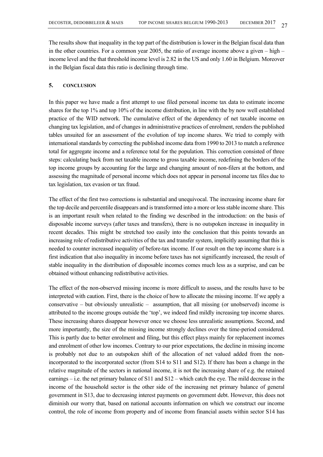The results show that inequality in the top part of the distribution is lower in the Belgian fiscal data than in the other countries. For a common year 2005, the ratio of average income above a given – high – income level and the that threshold income level is 2.82 in the US and only 1.60 in Belgium. Moreover in the Belgian fiscal data this ratio is declining through time.

# **5. CONCLUSION**

In this paper we have made a first attempt to use filed personal income tax data to estimate income shares for the top 1% and top 10% of the income distribution, in line with the by now well established practice of the WID network. The cumulative effect of the dependency of net taxable income on changing tax legislation, and of changes in administrative practices of enrolment, renders the published tables unsuited for an assessment of the evolution of top income shares. We tried to comply with international standards by correcting the published income data from 1990 to 2013 to match a reference total for aggregate income and a reference total for the population. This correction consisted of three steps: calculating back from net taxable income to gross taxable income, redefining the borders of the top income groups by accounting for the large and changing amount of non-filers at the bottom, and assessing the magnitude of personal income which does not appear in personal income tax files due to tax legislation, tax evasion or tax fraud.

The effect of the first two corrections is substantial and unequivocal. The increasing income share for the top decile and percentile disappears and is transformed into a more or less stable income share. This is an important result when related to the finding we described in the introduction: on the basis of disposable income surveys (after taxes and transfers), there is no outspoken increase in inequality in recent decades. This might be stretched too easily into the conclusion that this points towards an increasing role of redistributive activities of the tax and transfer system, implicitly assuming that this is needed to counter increased inequality of before-tax income. If our result on the top income share is a first indication that also inequality in income before taxes has not significantly increased, the result of stable inequality in the distribution of disposable incomes comes much less as a surprise, and can be obtained without enhancing redistributive activities.

The effect of the non-observed missing income is more difficult to assess, and the results have to be interpreted with caution. First, there is the choice of how to allocate the missing income. If we apply a conservative – but obviously unrealistic – assumption, that all missing (or unobserved) income is attributed to the income groups outside the 'top', we indeed find mildly increasing top income shares. These increasing shares disappear however once we choose less unrealistic assumptions. Second, and more importantly, the size of the missing income strongly declines over the time-period considered. This is partly due to better enrolment and filing, but this effect plays mainly for replacement incomes and enrolment of other low incomes. Contrary to our prior expectations, the decline in missing income is probably not due to an outspoken shift of the allocation of net valued added from the nonincorporated to the incorporated sector (from S14 to S11 and S12). If there has been a change in the relative magnitude of the sectors in national income, it is not the increasing share of e.g. the retained earnings – i.e. the net primary balance of S11 and S12 – which catch the eye. The mild decrease in the income of the household sector is the other side of the increasing net primary balance of general government in S13, due to decreasing interest payments on government debt. However, this does not diminish our worry that, based on national accounts information on which we construct our income control, the role of income from property and of income from financial assets within sector S14 has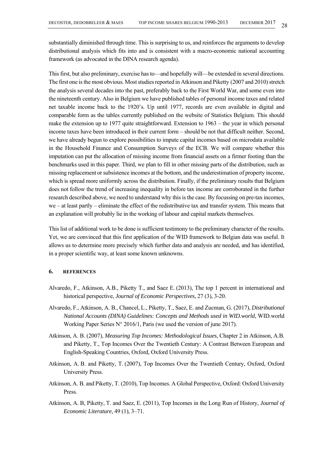substantially diminished through time. This is surprising to us, and reinforces the arguments to develop distributional analysis which fits into and is consistent with a macro-economic national accounting framework (as advocated in the DINA research agenda).

This first, but also preliminary, exercise has to—and hopefully will—be extended in several directions. The first one is the most obvious. Most studies reported in Atkinson and Piketty (2007 and 2010) stretch the analysis several decades into the past, preferably back to the First World War, and some even into the nineteenth century. Also in Belgium we have published tables of personal income taxes and related net taxable income back to the 1920's. Up until 1977, records are even available in digital and comparable form as the tables currently published on the website of Statistics Belgium. This should make the extension up to 1977 quite straightforward. Extension to 1963 – the year in which personal income taxes have been introduced in their current form – should be not that difficult neither. Second, we have already begun to explore possibilities to impute capital incomes based on microdata available in the Household Finance and Consumption Surveys of the ECB. We will compare whether this imputation can put the allocation of missing income from financial assets on a firmer footing than the benchmarks used in this paper. Third, we plan to fill in other missing parts of the distribution, such as missing replacement or subsistence incomes at the bottom, and the underestimation of property income, which is spread more uniformly across the distribution. Finally, if the preliminary results that Belgium does not follow the trend of increasing inequality in before tax income are corroborated in the further research described above, we need to understand why this is the case. By focussing on pre-tax incomes, we – at least partly – eliminate the effect of the redistributive tax and transfer system. This means that an explanation will probably lie in the working of labour and capital markets themselves.

This list of additional work to be done is sufficient testimony to the preliminary character of the results. Yet, we are convinced that this first application of the WID framework to Belgian data was useful. It allows us to determine more precisely which further data and analysis are needed, and has identified, in a proper scientific way, at least some known unknowns.

# **6. REFERENCES**

- Alvaredo, F., Atkinson, A.B., Piketty T., and Saez E. (2013), The top 1 percent in international and historical perspective, *Journal of Economic Perspectives*, 27 (3), 3-20.
- Alvaredo, F., Atkinson, A. B., Chancel, L., Piketty, T., Saez, E. and Zucman, G. (2017), *Distributional National Accounts (DINA) Guidelines: Concepts and Methods used in WID.world*, WID.world Working Paper Series N° 2016/1, Paris (we used the version of june 2017).
- Atkinson, A. B. (2007), *Measuring Top Incomes: Methodological Issues*, Chapter 2 in Atkinson, A.B. and Piketty, T., Top Incomes Over the Twentieth Century: A Contrast Between European and English-Speaking Countries, Oxford, Oxford University Press.
- Atkinson, A. B. and Piketty, T. (2007), Top Incomes Over the Twentieth Century, Oxford, Oxford University Press.
- Atkinson, A. B. and Piketty, T. (2010), Top Incomes. A Global Perspective, Oxford: Oxford University Press.
- Atkinson, A. B, Piketty, T. and Saez, E. (2011), Top Incomes in the Long Run of History, *Journal of Economic Literature,* 49 (1), 3–71.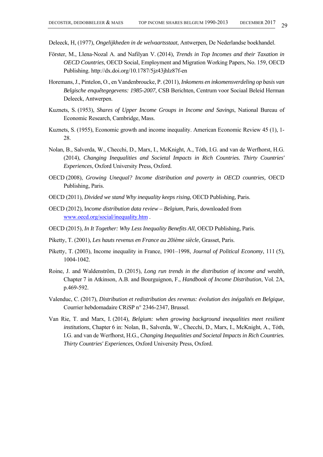Deleeck, H, (1977), *Ongelijkheden in de welvaartsstaat*, Antwerpen, De Nederlandse boekhandel.

- Förster, M., Llena-Nozal A. and Nafilyan V. (2014), *Trends in Top Incomes and their Taxation in OECD Countries*, OECD Social, Employment and Migration Working Papers, No. 159, OECD Publishing. http://dx.doi.org/10.1787/5jz43jhlz87f-en
- Horemans, J., Pintelon, O., en Vandenbroucke, P. (2011), *Inkomens en inkomensverdeling op basis van Belgische enquêtegegevens: 1985-2007*, CSB Berichten, Centrum voor Sociaal Beleid Herman Deleeck, Antwerpen.
- Kuznets, S. (1953), *Shares of Upper Income Groups in Income and Savings*, National Bureau of Economic Research, Cambridge, Mass.
- Kuznets, S. (1955), Economic growth and income inequality. American Economic Review 45 (1), 1- 28.
- Nolan, B., Salverda, W., Checchi, D., Marx, I., McKnight, A., Tóth, I.G. and van de Werfhorst, H.G. (2014), *Changing Inequalities and Societal Impacts in Rich Countries. Thirty Countries' Experiences*, Oxford University Press, Oxford.
- OECD (2008), *Growing Unequal? Income distribution and poverty in OECD countries,* OECD Publishing, Paris.
- OECD (2011), *Divided we stand Why inequality keeps rising*, OECD Publishing, Paris.
- OECD (2012), I*ncome distribution data review Belgium*, Paris, downloaded from www.oecd.org/social/inequality.htm .
- OECD (2015), *In It Together: Why Less Inequality Benefits All*, OECD Publishing, Paris.
- Piketty, T. (2001), *Les hauts revenus en France au 20ième siècle*, Grasset, Paris.
- Piketty, T. (2003), Income inequality in France, 1901–1998, *Journal of Political Economy*, 111 (5), 1004-1042.
- Roine, J. and Waldenström, D. (2015), *Long run trends in the distribution of income and wealth*, Chapter 7 in Atkinson, A.B. and Bourguignon, F., *Handbook of Income Distribution*, Vol. 2A, p.469-592.
- Valenduc, C. (2017), *Distribution et redistribution des revenus: évolution des inégalités en Belgique*, Courrier hebdomadaire CRiSP n° 2346-2347, Brussel.
- Van Rie, T. and Marx, I. (2014), *Belgium: when growing background inequalities meet resilient institutions*, Chapter 6 in: Nolan, B., Salverda, W., Checchi, D., Marx, I., McKnight, A., Tóth, I.G. and van de Werfhorst, H.G., *Changing Inequalities and Societal Impacts in Rich Countries. Thirty Countries' Experiences*, Oxford University Press, Oxford.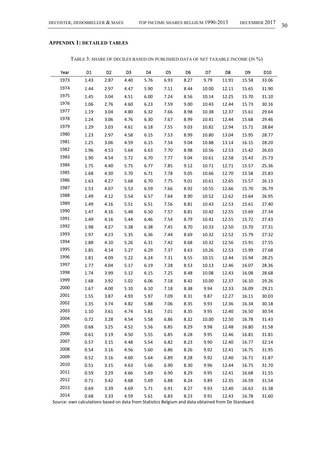# **APPENDIX 1: DETAILED TABLES**

TABLE 3: SHARE OF DECILES BASED ON PUBLISHED DATA OF NET TAXABLE INCOME (IN %)

| Year | D1   | D <sub>2</sub> | D <sub>3</sub> | D4   | D5   | D <sub>6</sub> | D7    | D8    | D9    | D10   |
|------|------|----------------|----------------|------|------|----------------|-------|-------|-------|-------|
| 1973 | 1.43 | 2.87           | 4.40           | 5.76 | 6.93 | 8.27           | 9.79  | 11.91 | 15.58 | 33.06 |
| 1974 | 1.44 | 2.97           | 4.47           | 5.90 | 7.11 | 8.44           | 10.00 | 12.11 | 15.65 | 31.90 |
| 1975 | 1.45 | 3.04           | 4.51           | 6.00 | 7.24 | 8.56           | 10.14 | 12.25 | 15.70 | 31.10 |
| 1976 | 1.06 | 2.76           | 4.60           | 6.23 | 7.59 | 9.00           | 10.43 | 12.44 | 15.73 | 30.16 |
| 1977 | 1.19 | 3.04           | 4.80           | 6.32 | 7.66 | 8.98           | 10.38 | 12.37 | 15.61 | 29.64 |
| 1978 | 1.24 | 3.06           | 4.76           | 6.30 | 7.67 | 8.99           | 10.41 | 12.44 | 15.68 | 29.46 |
| 1979 | 1.29 | 3.03           | 4.61           | 6.18 | 7.55 | 9.03           | 10.82 | 12.94 | 15.71 | 28.84 |
| 1980 | 1.23 | 2.97           | 4.58           | 6.15 | 7.53 | 8.99           | 10.80 | 13.04 | 15.95 | 28.77 |
| 1981 | 1.25 | 3.06           | 4.59           | 6.15 | 7.54 | 9.04           | 10.88 | 13.14 | 16.15 | 28.20 |
| 1982 | 1.96 | 4.53           | 5.64           | 6.63 | 7.70 | 8.98           | 10.56 | 12.53 | 15.42 | 26.03 |
| 1983 | 1.90 | 4.54           | 5.72           | 6.70 | 7.77 | 9.04           | 10.61 | 12.58 | 15.43 | 25.73 |
| 1984 | 1.75 | 4.40           | 5.75           | 6.77 | 7.85 | 9.12           | 10.71 | 12.71 | 15.57 | 25.36 |
| 1985 | 1.68 | 4.30           | 5.70           | 6.71 | 7.78 | 9.05           | 10.66 | 12.70 | 15.58 | 25.83 |
| 1986 | 1.63 | 4.27           | 5.68           | 6.70 | 7.75 | 9.01           | 10.61 | 12.65 | 15.57 | 26.13 |
| 1987 | 1.53 | 4.07           | 5.53           | 6.59 | 7.66 | 8.92           | 10.55 | 12.66 | 15.70 | 26.79 |
| 1988 | 1.49 | 4.12           | 5.54           | 6.57 | 7.64 | 8.90           | 10.52 | 12.62 | 15.64 | 26.95 |
| 1989 | 1.49 | 4.16           | 5.51           | 6.51 | 7.56 | 8.81           | 10.43 | 12.53 | 15.61 | 27.40 |
| 1990 | 1.47 | 4.16           | 5.48           | 6.50 | 7.57 | 8.81           | 10.42 | 12.55 | 15.69 | 27.34 |
| 1991 | 1.49 | 4.16           | 5.44           | 6.46 | 7.54 | 8.79           | 10.41 | 12.55 | 15.72 | 27.43 |
| 1992 | 1.98 | 4.27           | 5.38           | 6.38 | 7.45 | 8.70           | 10.33 | 12.50 | 15.70 | 27.31 |
| 1993 | 1.97 | 4.23           | 5.35           | 6.36 | 7.44 | 8.69           | 10.32 | 12.52 | 15.79 | 27.32 |
| 1994 | 1.88 | 4.10           | 5.26           | 6.31 | 7.42 | 8.68           | 10.32 | 12.56 | 15.91 | 27.55 |
| 1995 | 1.85 | 4.14           | 5.27           | 6.29 | 7.37 | 8.63           | 10.26 | 12.53 | 15.99 | 27.68 |
| 1996 | 1.81 | 4.09           | 5.22           | 6.24 | 7.31 | 8.55           | 10.15 | 12.44 | 15.94 | 28.25 |
| 1997 | 1.77 | 4.04           | 5.17           | 6.19 | 7.28 | 8.53           | 10.13 | 12.46 | 16.07 | 28.36 |
| 1998 | 1.74 | 3.99           | 5.12           | 6.15 | 7.25 | 8.48           | 10.08 | 12.43 | 16.08 | 28.68 |
| 1999 | 1.68 | 3.92           | 5.02           | 6.06 | 7.18 | 8.42           | 10.00 | 12.37 | 16.10 | 29.26 |
| 2000 | 1.67 | 4.00           | 5.10           | 6.10 | 7.18 | 8.38           | 9.94  | 12.33 | 16.09 | 29.21 |
| 2001 | 1.55 | 3.87           | 4.93           | 5.97 | 7.09 | 8.31           | 9.87  | 12.27 | 16.11 | 30.03 |
| 2002 | 1.35 | 3.74           | 4.82           | 5.88 | 7.06 | 8.35           | 9.93  | 12.36 | 16.34 | 30.18 |
| 2003 | 1.10 | 3.61           | 4.74           | 5.81 | 7.01 | 8.35           | 9.95  | 12.40 | 16.50 | 30.54 |
| 2004 | 0.72 | 3.28           | 4.54           | 5.58 | 6.86 | 8.32           | 10.00 | 12.50 | 16.78 | 31.43 |
| 2005 | 0.68 | 3.25           | 4.52           | 5.56 | 6.85 | 8.29           | 9.98  | 12.48 | 16.80 | 31.58 |
| 2006 | 0.61 | 3.19           | 4.50           | 5.55 | 6.85 | 8.28           | 9.95  | 12.46 | 16.81 | 31.81 |
| 2007 | 0.57 | 3.15           | 4.48           | 5.54 | 6.82 | 8.23           | 9.90  | 12.40 | 16.77 | 32.14 |
| 2008 | 0.54 | 3.16           | 4.56           | 5.60 | 6.86 | 8.26           | 9.92  | 12.41 | 16.75 | 31.95 |
| 2009 | 0.52 | 3.16           | 4.60           | 5.64 | 6.89 | 8.28           | 9.92  | 12.40 | 16.71 | 31.87 |
| 2010 | 0.51 | 3.15           | 4.63           | 5.66 | 6.90 | 8.30           | 9.96  | 12.44 | 16.75 | 31.70 |
| 2011 | 0.59 | 3.29           | 4.66           | 5.69 | 6.90 | 8.29           | 9.95  | 12.41 | 16.68 | 31.55 |
| 2012 | 0.71 | 3.42           | 4.68           | 5.69 | 6.88 | 8.24           | 9.89  | 12.35 | 16.59 | 31.54 |
| 2013 | 0.69 | 3.39           | 4.69           | 5.71 | 6.91 | 8.27           | 9.93  | 12.40 | 16.63 | 31.38 |
| 2014 | 0.68 | 3.33           | 4.59           | 5.61 | 6.83 | 8.23           | 9.91  | 12.43 | 16.78 | 31.60 |

Source: own calculations based on data from Statistics Belgium and data obtained from De Standaard.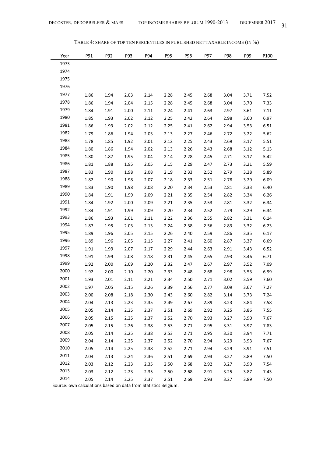TABLE 4: SHARE OF TOP TEN PERCENTILES IN PUBLISHED NET TAXABLE INCOME (IN %)

| Year | P91  | P92  | P93  | P94  | P95  | P96  | P97  | P98  | P99  | P100 |
|------|------|------|------|------|------|------|------|------|------|------|
| 1973 |      |      |      |      |      |      |      |      |      |      |
| 1974 |      |      |      |      |      |      |      |      |      |      |
| 1975 |      |      |      |      |      |      |      |      |      |      |
| 1976 |      |      |      |      |      |      |      |      |      |      |
| 1977 | 1.86 | 1.94 | 2.03 | 2.14 | 2.28 | 2.45 | 2.68 | 3.04 | 3.71 | 7.52 |
| 1978 | 1.86 | 1.94 | 2.04 | 2.15 | 2.28 | 2.45 | 2.68 | 3.04 | 3.70 | 7.33 |
| 1979 | 1.84 | 1.91 | 2.00 | 2.11 | 2.24 | 2.41 | 2.63 | 2.97 | 3.61 | 7.11 |
| 1980 | 1.85 | 1.93 | 2.02 | 2.12 | 2.25 | 2.42 | 2.64 | 2.98 | 3.60 | 6.97 |
| 1981 | 1.86 | 1.93 | 2.02 | 2.12 | 2.25 | 2.41 | 2.62 | 2.94 | 3.53 | 6.51 |
| 1982 | 1.79 | 1.86 | 1.94 | 2.03 | 2.13 | 2.27 | 2.46 | 2.72 | 3.22 | 5.62 |
| 1983 | 1.78 | 1.85 | 1.92 | 2.01 | 2.12 | 2.25 | 2.43 | 2.69 | 3.17 | 5.51 |
| 1984 | 1.80 | 1.86 | 1.94 | 2.02 | 2.13 | 2.26 | 2.43 | 2.68 | 3.12 | 5.13 |
| 1985 | 1.80 | 1.87 | 1.95 | 2.04 | 2.14 | 2.28 | 2.45 | 2.71 | 3.17 | 5.42 |
| 1986 | 1.81 | 1.88 | 1.95 | 2.05 | 2.15 | 2.29 | 2.47 | 2.73 | 3.21 | 5.59 |
| 1987 | 1.83 | 1.90 | 1.98 | 2.08 | 2.19 | 2.33 | 2.52 | 2.79 | 3.28 | 5.89 |
| 1988 | 1.82 | 1.90 | 1.98 | 2.07 | 2.18 | 2.33 | 2.51 | 2.78 | 3.29 | 6.09 |
| 1989 | 1.83 | 1.90 | 1.98 | 2.08 | 2.20 | 2.34 | 2.53 | 2.81 | 3.33 | 6.40 |
| 1990 | 1.84 | 1.91 | 1.99 | 2.09 | 2.21 | 2.35 | 2.54 | 2.82 | 3.34 | 6.26 |
| 1991 | 1.84 | 1.92 | 2.00 | 2.09 | 2.21 | 2.35 | 2.53 | 2.81 | 3.32 | 6.34 |
| 1992 | 1.84 | 1.91 | 1.99 | 2.09 | 2.20 | 2.34 | 2.52 | 2.79 | 3.29 | 6.34 |
| 1993 | 1.86 | 1.93 | 2.01 | 2.11 | 2.22 | 2.36 | 2.55 | 2.82 | 3.31 | 6.14 |
| 1994 | 1.87 | 1.95 | 2.03 | 2.13 | 2.24 | 2.38 | 2.56 | 2.83 | 3.32 | 6.23 |
| 1995 | 1.89 | 1.96 | 2.05 | 2.15 | 2.26 | 2.40 | 2.59 | 2.86 | 3.35 | 6.17 |
| 1996 | 1.89 | 1.96 | 2.05 | 2.15 | 2.27 | 2.41 | 2.60 | 2.87 | 3.37 | 6.69 |
| 1997 | 1.91 | 1.99 | 2.07 | 2.17 | 2.29 | 2.44 | 2.63 | 2.91 | 3.43 | 6.52 |
| 1998 | 1.91 | 1.99 | 2.08 | 2.18 | 2.31 | 2.45 | 2.65 | 2.93 | 3.46 | 6.71 |
| 1999 | 1.92 | 2.00 | 2.09 | 2.20 | 2.32 | 2.47 | 2.67 | 2.97 | 3.52 | 7.09 |
| 2000 | 1.92 | 2.00 | 2.10 | 2.20 | 2.33 | 2.48 | 2.68 | 2.98 | 3.53 | 6.99 |
| 2001 | 1.93 | 2.01 | 2.11 | 2.21 | 2.34 | 2.50 | 2.71 | 3.02 | 3.59 | 7.60 |
| 2002 | 1.97 | 2.05 | 2.15 | 2.26 | 2.39 | 2.56 | 2.77 | 3.09 | 3.67 | 7.27 |
| 2003 | 2.00 | 2.08 | 2.18 | 2.30 | 2.43 | 2.60 | 2.82 | 3.14 | 3.73 | 7.24 |
| 2004 | 2.04 | 2.13 | 2.23 | 2.35 | 2.49 | 2.67 | 2.89 | 3.23 | 3.84 | 7.58 |
| 2005 | 2.05 | 2.14 | 2.25 | 2.37 | 2.51 | 2.69 | 2.92 | 3.25 | 3.86 | 7.55 |
| 2006 | 2.05 | 2.15 | 2.25 | 2.37 | 2.52 | 2.70 | 2.93 | 3.27 | 3.90 | 7.67 |
| 2007 | 2.05 | 2.15 | 2.26 | 2.38 | 2.53 | 2.71 | 2.95 | 3.31 | 3.97 | 7.83 |
| 2008 | 2.05 | 2.14 | 2.25 | 2.38 | 2.53 | 2.71 | 2.95 | 3.30 | 3.94 | 7.71 |
| 2009 | 2.04 | 2.14 | 2.25 | 2.37 | 2.52 | 2.70 | 2.94 | 3.29 | 3.93 | 7.67 |
| 2010 | 2.05 | 2.14 | 2.25 | 2.38 | 2.52 | 2.71 | 2.94 | 3.29 | 3.91 | 7.51 |
| 2011 | 2.04 | 2.13 | 2.24 | 2.36 | 2.51 | 2.69 | 2.93 | 3.27 | 3.89 | 7.50 |
| 2012 | 2.03 | 2.12 | 2.23 | 2.35 | 2.50 | 2.68 | 2.92 | 3.27 | 3.90 | 7.54 |
| 2013 | 2.03 | 2.12 | 2.23 | 2.35 | 2.50 | 2.68 | 2.91 | 3.25 | 3.87 | 7.43 |
| 2014 | 2.05 | 2.14 | 2.25 | 2.37 | 2.51 | 2.69 | 2.93 | 3.27 | 3.89 | 7.50 |

Source: own calculations based on data from Statistics Belgium.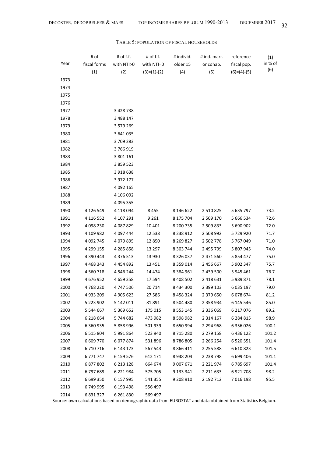| Year | # of<br>fiscal forms<br>(1) | # of f.f.<br>with NTI>0<br>(2) | # of f.f.<br>with NTI=0<br>$(3)=(1)-(2)$ | # individ.<br>older 15<br>(4) | # ind. marr.<br>or cohab.<br>(5) | reference<br>fiscal pop.<br>$(6)=(4)-(5)$ | (1)<br>in % of<br>(6) |
|------|-----------------------------|--------------------------------|------------------------------------------|-------------------------------|----------------------------------|-------------------------------------------|-----------------------|
| 1973 |                             |                                |                                          |                               |                                  |                                           |                       |
| 1974 |                             |                                |                                          |                               |                                  |                                           |                       |
| 1975 |                             |                                |                                          |                               |                                  |                                           |                       |
| 1976 |                             |                                |                                          |                               |                                  |                                           |                       |
| 1977 |                             | 3 4 2 8 7 3 8                  |                                          |                               |                                  |                                           |                       |
| 1978 |                             | 3 488 147                      |                                          |                               |                                  |                                           |                       |
| 1979 |                             | 3 579 269                      |                                          |                               |                                  |                                           |                       |
| 1980 |                             | 3 641 035                      |                                          |                               |                                  |                                           |                       |
| 1981 |                             | 3709283                        |                                          |                               |                                  |                                           |                       |
| 1982 |                             | 3766919                        |                                          |                               |                                  |                                           |                       |
| 1983 |                             | 3 801 161                      |                                          |                               |                                  |                                           |                       |
| 1984 |                             | 3 859 523                      |                                          |                               |                                  |                                           |                       |
| 1985 |                             | 3918638                        |                                          |                               |                                  |                                           |                       |
| 1986 |                             | 3 972 177                      |                                          |                               |                                  |                                           |                       |
| 1987 |                             | 4 092 165                      |                                          |                               |                                  |                                           |                       |
| 1988 |                             | 4 106 092                      |                                          |                               |                                  |                                           |                       |
| 1989 |                             | 4 095 355                      |                                          |                               |                                  |                                           |                       |
| 1990 | 4 126 549                   | 4 118 094                      | 8455                                     | 8 146 622                     | 2 510 825                        | 5 635 797                                 | 73.2                  |
| 1991 | 4 116 552                   | 4 107 291                      | 9 2 6 1                                  | 8 175 704                     | 2 509 170                        | 5 666 534                                 | 72.6                  |
| 1992 | 4 098 230                   | 4 087 829                      | 10 401                                   | 8 200 735                     | 2 509 833                        | 5 690 902                                 | 72.0                  |
| 1993 | 4 109 982                   | 4 097 444                      | 12 5 38                                  | 8 2 3 8 9 1 2                 | 2 508 992                        | 5729920                                   | 71.7                  |
| 1994 | 4 092 745                   | 4 0 7 9 8 9 5                  | 12 850                                   | 8 2 6 9 8 2 7                 | 2 502 778                        | 5 767 049                                 | 71.0                  |
| 1995 | 4 299 155                   | 4 285 858                      | 13 297                                   | 8 303 744                     | 2 495 799                        | 5 807 945                                 | 74.0                  |
| 1996 | 4 390 443                   | 4 376 513                      | 13 930                                   | 8 3 2 6 0 3 7                 | 2 471 560                        | 5 854 477                                 | 75.0                  |
| 1997 | 4 4 6 8 3 4 3               | 4 4 5 4 8 9 2                  | 13 4 51                                  | 8 3 5 9 0 1 4                 | 2 456 667                        | 5 902 347                                 | 75.7                  |
| 1998 | 4 5 6 7 1 8                 | 4 546 244                      | 14 4 7 4                                 | 8 3 8 4 9 6 1                 | 2 439 500                        | 5 945 461                                 | 76.7                  |
| 1999 | 4 676 952                   | 4 659 358                      | 17594                                    | 8 408 502                     | 2 4 1 8 6 3 1                    | 5 989 871                                 | 78.1                  |
| 2000 | 4768220                     | 4 747 506                      | 20714                                    | 8 434 300                     | 2 399 103                        | 6 035 197                                 | 79.0                  |
| 2001 | 4 933 209                   | 4 905 623                      | 27 586                                   | 8 458 324                     | 2 379 650                        | 6078674                                   | 81.2                  |
| 2002 | 5 223 902                   | 5 142 011                      | 81891                                    | 8 504 480                     | 2 3 5 8 9 3 4                    | 6 145 546                                 | 85.0                  |
| 2003 | 5 544 667                   | 5 369 652                      | 175 015                                  | 8 5 5 3 1 4 5                 | 2 336 069                        | 6 217 076                                 | 89.2                  |
| 2004 | 6 218 664                   | 5744682                        | 473 982                                  | 8 5 9 8 9 8 2                 | 2 3 1 4 1 6 7                    | 6 284 815                                 | 98.9                  |
| 2005 | 6 360 935                   | 5 858 996                      | 501 939                                  | 8 650 994                     | 2 2 9 4 9 6 8                    | 6 356 026                                 | 100.1                 |
| 2006 | 6 5 1 5 8 0 4               | 5 991 864                      | 523 940                                  | 8715280                       | 2 279 158                        | 6 436 122                                 | 101.2                 |
| 2007 | 6 609 770                   | 6077874                        | 531896                                   | 8786805                       | 2 2 6 2 5 4                      | 6 5 20 5 5 1                              | 101.4                 |
| 2008 | 6710716                     | 6 143 173                      | 567 543                                  | 8 8 6 4 1 1                   | 2 2 5 5 5 8 8                    | 6 6 10 8 23                               | 101.5                 |
| 2009 | 6771747                     | 6 159 576                      | 612 171                                  | 8938204                       | 2 2 3 8 7 9 8                    | 6 699 406                                 | 101.1                 |
| 2010 | 6 877 802                   | 6 2 1 3 1 2 8                  | 664 674                                  | 9 007 671                     | 2 2 2 1 9 7 4                    | 6785697                                   | 101.4                 |
| 2011 | 6797689                     | 6 2 2 1 9 8 4                  | 575 705                                  | 9 133 341                     | 2 2 1 6 3 3                      | 6921708                                   | 98.2                  |
| 2012 | 6 699 350                   | 6 157 995                      | 541 355                                  | 9 208 910                     | 2 192 712                        | 7 016 198                                 | 95.5                  |
| 2013 | 6749995                     | 6 193 498                      | 556 497                                  |                               |                                  |                                           |                       |
| 2014 | 6 831 327                   | 6 2 6 1 8 3 0                  | 569 497                                  |                               |                                  |                                           |                       |

#### TABLE 5: POPULATION OF FISCAL HOUSEHOLDS

Source: own calculations based on demographic data from EUROSTAT and data obtained from Statistics Belgium.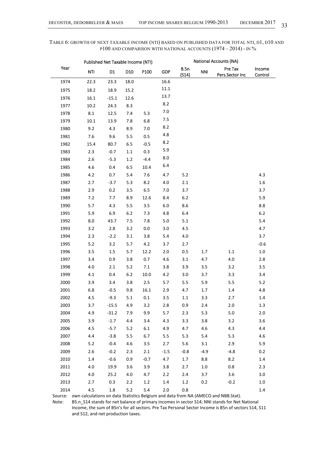# TABLE 6: GROWTH OF NEXT TAXABLE INCOME (NTI) BASED ON PUBLISHED DATA FOR TOTAL NTI, D1, D10 AND P100 AND COMPARISON WITH NATIONAL ACCOUNTS (1974 – 2014) - IN %

|      |         | Published Net Taxable Income (NTI) |                 |         |            | <b>National Accounts (NA)</b> |            |                            |                   |
|------|---------|------------------------------------|-----------------|---------|------------|-------------------------------|------------|----------------------------|-------------------|
| Year | NTI     | D1                                 | D <sub>10</sub> | P100    | <b>GDP</b> | B.5n<br>(S14)                 | <b>NNI</b> | Pre Tax<br>Pers.Sector Inc | Income<br>Control |
| 1974 | 22.3    | 23.3                               | 18.0            |         | 16.6       |                               |            |                            |                   |
| 1975 | 18.2    | 18.9                               | 15.2            |         | 11.1       |                               |            |                            |                   |
| 1976 | 16.1    | $-15.1$                            | 12.6            |         | 13.7       |                               |            |                            |                   |
| 1977 | 10.2    | 24.3                               | 8.3             |         | 8.2        |                               |            |                            |                   |
| 1978 | $8.1\,$ | 12.5                               | 7.4             | 5.3     | 7.0        |                               |            |                            |                   |
| 1979 | 10.1    | 13.9                               | 7.8             | 6.8     | 7.5        |                               |            |                            |                   |
| 1980 | 9.2     | 4.3                                | 8.9             | 7.0     | 8.2        |                               |            |                            |                   |
| 1981 | 7.6     | 9.6                                | 5.5             | 0.5     | 4.8        |                               |            |                            |                   |
| 1982 | 15.4    | 80.7                               | 6.5             | $-0.5$  | 8.2        |                               |            |                            |                   |
| 1983 | 2.3     | $-0.7$                             | 1.1             | 0.3     | 5.9        |                               |            |                            |                   |
| 1984 | 2.6     | $-5.3$                             | 1.2             | $-4.4$  | 8.0        |                               |            |                            |                   |
| 1985 | 4.6     | 0.4                                | 6.5             | 10.4    | 6.4        |                               |            |                            |                   |
| 1986 | 4.2     | 0.7                                | 5.4             | 7.6     | 4.7        | 5.2                           |            |                            | 4.3               |
| 1987 | 2.7     | $-3.7$                             | 5.3             | 8.2     | 4.0        | 2.1                           |            |                            | 1.6               |
| 1988 | 2.9     | 0.2                                | 3.5             | 6.5     | 7.0        | 3.7                           |            |                            | 3.7               |
| 1989 | 7.2     | 7.7                                | 8.9             | 12.6    | 8.4        | $6.2\,$                       |            |                            | 5.9               |
| 1990 | 5.7     | 4.3                                | 5.5             | 3.5     | 6.0        | 8.6                           |            |                            | $8.8\,$           |
| 1991 | 5.9     | 6.9                                | 6.2             | 7.3     | 4.8        | $6.4\,$                       |            |                            | $6.2\,$           |
| 1992 | 8.0     | 43.7                               | 7.5             | 7.8     | 5.0        | 5.1                           |            |                            | 5.4               |
| 1993 | 3.2     | 2.8                                | 3.2             | $0.0\,$ | 3.0        | 4.5                           |            |                            | 4.7               |
| 1994 | 2.3     | $-2.2$                             | 3.1             | 3.8     | 5.4        | 4.0                           |            |                            | 3.7               |
| 1995 | 5.2     | 3.2                                | 5.7             | 4.2     | 3.7        | 2.7                           |            |                            | $-0.6$            |
| 1996 | 3.5     | 1.5                                | 5.7             | 12.2    | 2.0        | 0.5                           | 1.7        | 1.1                        | $1.0\,$           |
| 1997 | 3.4     | 0.9                                | 3.8             | 0.7     | 4.6        | 3.1                           | 4.7        | 4.0                        | 2.8               |
| 1998 | 4.0     | 2.1                                | 5.2             | 7.1     | 3.8        | 3.9                           | 3.5        | 3.2                        | 3.5               |
| 1999 | 4.1     | 0.4                                | 6.2             | 10.0    | 4.2        | 3.0                           | 3.7        | 3.3                        | 3.4               |
| 2000 | 3.9     | 3.4                                | 3.8             | 2.5     | 5.7        | 5.5                           | 5.9        | 5.5                        | $5.2$             |
| 2001 | 6.8     | $-0.5$                             | 9.8             | 16.1    | 2.9        | 4.7                           | 1.7        | 1.4                        | 4.8               |
| 2002 | 4.5     | $-9.3$                             | 5.1             | 0.1     | 3.5        | 1.1                           | 3.3        | 2.7                        | 1.4               |
| 2003 | 3.7     | $-15.5$                            | 4.9             | 3.2     | 2.8        | 0.9                           | 2.4        | 2.0                        | 1.3               |
| 2004 | 4.9     | $-31.2$                            | 7.9             | 9.9     | 5.7        | 2.3                           | 5.3        | 5.0                        | 2.0               |
| 2005 | 3.9     | $-1.7$                             | 4.4             | 3.4     | 4.3        | 3.3                           | 3.8        | 3.2                        | 3.6               |
| 2006 | 4.5     | $-5.7$                             | $5.2$           | 6.1     | 4.9        | 4.7                           | 4.6        | 4.3                        | 4.4               |
| 2007 | 4.4     | $-3.8$                             | 5.5             | 6.7     | 5.5        | 5.3                           | 5.4        | 5.3                        | 4.6               |
| 2008 | 5.2     | $-0.4$                             | 4.6             | 3.5     | 2.7        | 5.6                           | 3.1        | 2.9                        | 5.9               |
| 2009 | 2.6     | $-0.2$                             | 2.3             | 2.1     | $-1.5$     | $-0.8$                        | $-4.9$     | $-4.8$                     | 0.2               |
| 2010 | $1.4\,$ | $-0.6$                             | 0.9             | $-0.7$  | 4.7        | 1.7                           | 8.8        | 8.2                        | $1.4\,$           |
| 2011 | 4.0     | 19.9                               | 3.6             | 3.9     | 3.8        | 2.7                           | $1.0\,$    | 0.8                        | 2.3               |
| 2012 | 4.0     | 25.2                               | $4.0\,$         | 4.7     | 2.2        | 2.4                           | 3.7        | 3.6                        | 3.0               |
| 2013 | 2.7     | 0.3                                | 2.2             | 1.2     | 1.4        | 1.2                           | 0.2        | $-0.2$                     | 1.0               |
| 2014 | 4.5     | 1.8                                | $5.2$           | 5.4     | 2.0        | 0.8                           |            |                            | $1.4\,$           |

Source: own calculations on data Statistics Belgium and data from NA (AMECO and NBB.Stat).

Note: B5.n\_S14 stands for net balance of primary incomes in sector S14; NNI stands for Net National Income, the sum of B5n's for all sectors. Pre Tax Personal Sector Income is B5n of sectors S14, S11 and S12, and net production taxes.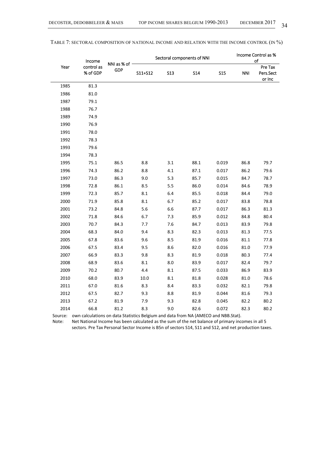|      | Income                 |                    |         |            |      |            | Sectoral components of NNI | Income Control as %<br>of      |  |  |
|------|------------------------|--------------------|---------|------------|------|------------|----------------------------|--------------------------------|--|--|
| Year | control as<br>% of GDP | NNI as % of<br>GDP | S11+S12 | <b>S13</b> | S14  | <b>S15</b> | <b>NNI</b>                 | Pre Tax<br>Pers.Sect<br>or Inc |  |  |
| 1985 | 81.3                   |                    |         |            |      |            |                            |                                |  |  |
| 1986 | 81.0                   |                    |         |            |      |            |                            |                                |  |  |
| 1987 | 79.1                   |                    |         |            |      |            |                            |                                |  |  |
| 1988 | 76.7                   |                    |         |            |      |            |                            |                                |  |  |
| 1989 | 74.9                   |                    |         |            |      |            |                            |                                |  |  |
| 1990 | 76.9                   |                    |         |            |      |            |                            |                                |  |  |
| 1991 | 78.0                   |                    |         |            |      |            |                            |                                |  |  |
| 1992 | 78.3                   |                    |         |            |      |            |                            |                                |  |  |
| 1993 | 79.6                   |                    |         |            |      |            |                            |                                |  |  |
| 1994 | 78.3                   |                    |         |            |      |            |                            |                                |  |  |
| 1995 | 75.1                   | 86.5               | 8.8     | 3.1        | 88.1 | 0.019      | 86.8                       | 79.7                           |  |  |
| 1996 | 74.3                   | 86.2               | 8.8     | $4.1\,$    | 87.1 | 0.017      | 86.2                       | 79.6                           |  |  |
| 1997 | 73.0                   | 86.3               | 9.0     | 5.3        | 85.7 | 0.015      | 84.7                       | 78.7                           |  |  |
| 1998 | 72.8                   | 86.1               | 8.5     | 5.5        | 86.0 | 0.014      | 84.6                       | 78.9                           |  |  |
| 1999 | 72.3                   | 85.7               | 8.1     | 6.4        | 85.5 | 0.018      | 84.4                       | 79.0                           |  |  |
| 2000 | 71.9                   | 85.8               | $8.1\,$ | 6.7        | 85.2 | 0.017      | 83.8                       | 78.8                           |  |  |
| 2001 | 73.2                   | 84.8               | 5.6     | 6.6        | 87.7 | 0.017      | 86.3                       | 81.3                           |  |  |
| 2002 | 71.8                   | 84.6               | 6.7     | 7.3        | 85.9 | 0.012      | 84.8                       | 80.4                           |  |  |
| 2003 | 70.7                   | 84.3               | 7.7     | 7.6        | 84.7 | 0.013      | 83.9                       | 79.8                           |  |  |
| 2004 | 68.3                   | 84.0               | 9.4     | 8.3        | 82.3 | 0.013      | 81.3                       | 77.5                           |  |  |
| 2005 | 67.8                   | 83.6               | 9.6     | 8.5        | 81.9 | 0.016      | 81.1                       | 77.8                           |  |  |
| 2006 | 67.5                   | 83.4               | 9.5     | 8.6        | 82.0 | 0.016      | 81.0                       | 77.9                           |  |  |
| 2007 | 66.9                   | 83.3               | 9.8     | 8.3        | 81.9 | 0.018      | 80.3                       | 77.4                           |  |  |
| 2008 | 68.9                   | 83.6               | 8.1     | 8.0        | 83.9 | 0.017      | 82.4                       | 79.7                           |  |  |
| 2009 | 70.2                   | 80.7               | 4.4     | 8.1        | 87.5 | 0.033      | 86.9                       | 83.9                           |  |  |
| 2010 | 68.0                   | 83.9               | 10.0    | 8.1        | 81.8 | 0.028      | 81.0                       | 78.6                           |  |  |
| 2011 | 67.0                   | 81.6               | 8.3     | 8.4        | 83.3 | 0.032      | 82.1                       | 79.8                           |  |  |
| 2012 | 67.5                   | 82.7               | 9.3     | 8.8        | 81.9 | 0.044      | 81.6                       | 79.3                           |  |  |
| 2013 | 67.2                   | 81.9               | 7.9     | 9.3        | 82.8 | 0.045      | 82.2                       | 80.2                           |  |  |
| 2014 | 66.8                   | 81.2               | 8.3     | 9.0        | 82.6 | 0.072      | 82.3                       | 80.2                           |  |  |

TABLE 7: SECTORAL COMPOSITION OF NATIONAL INCOME AND RELATION WITH THE INCOME CONTROL (IN %)

Source: own calculations on data Statistics Belgium and data from NA (AMECO and NBB.Stat).

Note: Net National Income has been calculated as the sum of the net balance of primary incomes in all 5

sectors. Pre Tax Personal Sector Income is B5n of sectors S14, S11 and S12, and net production taxes.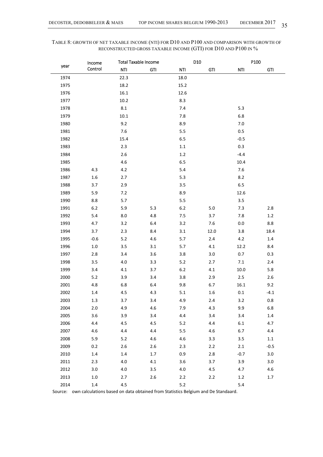# TABLE 8: GROWTH OF NET TAXABLE INCOME (NTI) FOR D10 AND P100 AND COMPARISON WITH GROWTH OF RECONSTRUCTED GROSS TAXABLE INCOME (GTI) FOR D10 AND P100 IN %

|      | Income  |          | <b>Total Taxable Income</b> |         | D10        |            | P100       |
|------|---------|----------|-----------------------------|---------|------------|------------|------------|
| year | Control | NTI      | <b>GTI</b>                  | NTI     | <b>GTI</b> | <b>NTI</b> | <b>GTI</b> |
| 1974 |         | 22.3     |                             | 18.0    |            |            |            |
| 1975 |         | 18.2     |                             | 15.2    |            |            |            |
| 1976 |         | 16.1     |                             | 12.6    |            |            |            |
| 1977 |         | 10.2     |                             | 8.3     |            |            |            |
| 1978 |         | $8.1\,$  |                             | 7.4     |            | 5.3        |            |
| 1979 |         | $10.1\,$ |                             | 7.8     |            | $6.8\,$    |            |
| 1980 |         | 9.2      |                             | 8.9     |            | $7.0\,$    |            |
| 1981 |         | 7.6      |                             | 5.5     |            | 0.5        |            |
| 1982 |         | 15.4     |                             | $6.5\,$ |            | $-0.5$     |            |
| 1983 |         | 2.3      |                             | 1.1     |            | 0.3        |            |
| 1984 |         | $2.6$    |                             | $1.2\,$ |            | $-4.4$     |            |
| 1985 |         | $4.6\,$  |                             | $6.5\,$ |            | 10.4       |            |
| 1986 | 4.3     | $4.2\,$  |                             | 5.4     |            | 7.6        |            |
| 1987 | $1.6\,$ | 2.7      |                             | 5.3     |            | 8.2        |            |
| 1988 | 3.7     | 2.9      |                             | 3.5     |            | $6.5\,$    |            |
| 1989 | 5.9     | 7.2      |                             | 8.9     |            | 12.6       |            |
| 1990 | 8.8     | 5.7      |                             | 5.5     |            | 3.5        |            |
| 1991 | $6.2\,$ | 5.9      | 5.3                         | $6.2\,$ | $5.0$      | 7.3        | $2.8\,$    |
| 1992 | 5.4     | $8.0\,$  | 4.8                         | 7.5     | 3.7        | 7.8        | $1.2\,$    |
| 1993 | 4.7     | 3.2      | 6.4                         | 3.2     | 7.6        | $0.0\,$    | 8.8        |
| 1994 | 3.7     | 2.3      | 8.4                         | 3.1     | 12.0       | 3.8        | 18.4       |
| 1995 | $-0.6$  | 5.2      | 4.6                         | $5.7$   | 2.4        | 4.2        | 1.4        |
| 1996 | $1.0\,$ | 3.5      | 3.1                         | 5.7     | 4.1        | 12.2       | 8.4        |
| 1997 | 2.8     | 3.4      | 3.6                         | 3.8     | 3.0        | 0.7        | 0.3        |
| 1998 | 3.5     | $4.0\,$  | 3.3                         | 5.2     | 2.7        | 7.1        | 2.4        |
| 1999 | 3.4     | 4.1      | 3.7                         | $6.2$   | 4.1        | 10.0       | 5.8        |
| 2000 | 5.2     | 3.9      | 3.4                         | 3.8     | 2.9        | 2.5        | 2.6        |
| 2001 | 4.8     | 6.8      | 6.4                         | 9.8     | 6.7        | $16.1\,$   | 9.2        |
| 2002 | 1.4     | 4.5      | 4.3                         | 5.1     | 1.6        | 0.1        | $-4.1$     |
| 2003 | 1.3     | 3.7      | 3.4                         | 4.9     | 2.4        | 3.2        | 0.8        |
| 2004 | 2.0     | 4.9      | 4.6                         | 7.9     | 4.3        | 9.9        | $6.8\,$    |
| 2005 | 3.6     | 3.9      | 3.4                         | 4.4     | 3.4        | 3.4        | $1.4\,$    |
| 2006 | 4.4     | 4.5      | 4.5                         | $5.2$   | 4.4        | $6.1\,$    | 4.7        |
| 2007 | 4.6     | 4.4      | 4.4                         | 5.5     | 4.6        | 6.7        | 4.4        |
| 2008 | 5.9     | $5.2$    | 4.6                         | $4.6\,$ | 3.3        | 3.5        | $1.1\,$    |
| 2009 | 0.2     | $2.6\,$  | 2.6                         | 2.3     | 2.2        | 2.1        | $-0.5$     |
| 2010 | 1.4     | 1.4      | 1.7                         | 0.9     | 2.8        | $-0.7$     | $3.0\,$    |
| 2011 | 2.3     | 4.0      | 4.1                         | 3.6     | 3.7        | 3.9        | 3.0        |
| 2012 | 3.0     | $4.0\,$  | 3.5                         | $4.0\,$ | 4.5        | 4.7        | 4.6        |
| 2013 | 1.0     | 2.7      | 2.6                         | 2.2     | 2.2        | $1.2\,$    | 1.7        |
| 2014 | $1.4\,$ | 4.5      |                             | $5.2$   |            | $5.4$      |            |

Source: own calculations based on data obtained from Statistics Belgium and De Standaard.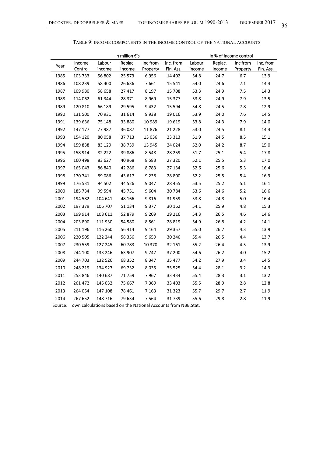|         |         |         | in million €'s |          |                                                               |        |         | in % of income control |           |
|---------|---------|---------|----------------|----------|---------------------------------------------------------------|--------|---------|------------------------|-----------|
| Year    | Income  | Labour  | Replac.        | Inc from | Inc. from                                                     | Labour | Replac. | Inc from               | Inc. from |
|         | Control | income  | income         | Property | Fin. Ass.                                                     | income | income  | Property               | Fin. Ass. |
| 1985    | 103 733 | 56 802  | 25 573         | 6956     | 14 402                                                        | 54.8   | 24.7    | 6.7                    | 13.9      |
| 1986    | 108 239 | 58 400  | 26 636         | 7661     | 15 541                                                        | 54.0   | 24.6    | $7.1\,$                | 14.4      |
| 1987    | 109 980 | 58 658  | 27 417         | 8 1 9 7  | 15 708                                                        | 53.3   | 24.9    | 7.5                    | 14.3      |
| 1988    | 114 062 | 61 344  | 28 371         | 8969     | 15 377                                                        | 53.8   | 24.9    | 7.9                    | 13.5      |
| 1989    | 120 810 | 66 189  | 29 5 95        | 9432     | 15 5 94                                                       | 54.8   | 24.5    | 7.8                    | 12.9      |
| 1990    | 131 500 | 70 931  | 31 614         | 9938     | 19 0 16                                                       | 53.9   | 24.0    | 7.6                    | 14.5      |
| 1991    | 139 636 | 75 148  | 33 880         | 10 989   | 19 6 19                                                       | 53.8   | 24.3    | 7.9                    | 14.0      |
| 1992    | 147 177 | 77987   | 36 087         | 11876    | 21 228                                                        | 53.0   | 24.5    | 8.1                    | 14.4      |
| 1993    | 154 120 | 80 058  | 37713          | 13 0 36  | 23 313                                                        | 51.9   | 24.5    | 8.5                    | 15.1      |
| 1994    | 159838  | 83 129  | 38739          | 13 945   | 24 0 24                                                       | 52.0   | 24.2    | 8.7                    | 15.0      |
| 1995    | 158 914 | 82 222  | 39 886         | 8548     | 28 259                                                        | 51.7   | 25.1    | 5.4                    | 17.8      |
| 1996    | 160 498 | 83 627  | 40 968         | 8583     | 27 320                                                        | 52.1   | 25.5    | 5.3                    | 17.0      |
| 1997    | 165 043 | 86 840  | 42 28 6        | 8783     | 27 134                                                        | 52.6   | 25.6    | 5.3                    | 16.4      |
| 1998    | 170 741 | 89 0 86 | 43 617         | 9 2 3 8  | 28 800                                                        | 52.2   | 25.5    | 5.4                    | 16.9      |
| 1999    | 176 531 | 94 502  | 44 5 26        | 9047     | 28 455                                                        | 53.5   | 25.2    | 5.1                    | $16.1\,$  |
| 2000    | 185 734 | 99 594  | 45 751         | 9604     | 30 784                                                        | 53.6   | 24.6    | $5.2$                  | 16.6      |
| 2001    | 194 582 | 104 641 | 48 166         | 9816     | 31 959                                                        | 53.8   | 24.8    | 5.0                    | 16.4      |
| 2002    | 197 379 | 106 707 | 51 134         | 9377     | 30 162                                                        | 54.1   | 25.9    | 4.8                    | 15.3      |
| 2003    | 199 914 | 108 611 | 52 879         | 9 2 0 9  | 29 216                                                        | 54.3   | 26.5    | 4.6                    | 14.6      |
| 2004    | 203 890 | 111 930 | 54 580         | 8 5 6 1  | 28 8 19                                                       | 54.9   | 26.8    | 4.2                    | 14.1      |
| 2005    | 211 196 | 116 260 | 56 414         | 9 1 6 4  | 29 357                                                        | 55.0   | 26.7    | 4.3                    | 13.9      |
| 2006    | 220 505 | 122 244 | 58 356         | 9659     | 30 246                                                        | 55.4   | 26.5    | 4.4                    | 13.7      |
| 2007    | 230 559 | 127 245 | 60783          | 10 370   | 32 161                                                        | 55.2   | 26.4    | 4.5                    | 13.9      |
| 2008    | 244 100 | 133 246 | 63 907         | 9747     | 37 200                                                        | 54.6   | 26.2    | 4.0                    | 15.2      |
| 2009    | 244 703 | 132 526 | 68 352         | 8347     | 35 477                                                        | 54.2   | 27.9    | 3.4                    | 14.5      |
| 2010    | 248 219 | 134 927 | 69732          | 8035     | 35 5 25                                                       | 54.4   | 28.1    | 3.2                    | 14.3      |
| 2011    | 253 846 | 140 687 | 71759          | 7967     | 33 4 34                                                       | 55.4   | 28.3    | 3.1                    | 13.2      |
| 2012    | 261 472 | 145 032 | 75 667         | 7369     | 33 403                                                        | 55.5   | 28.9    | 2.8                    | 12.8      |
| 2013    | 264 054 | 147 108 | 78 461         | 7 1 6 3  | 31 323                                                        | 55.7   | 29.7    | 2.7                    | 11.9      |
| 2014    | 267 652 | 148 716 | 79 634         | 7564     | 31739                                                         | 55.6   | 29.8    | 2.8                    | 11.9      |
| Source: |         |         |                |          | own calculations hased on the National Accounts from NRR Stat |        |         |                        |           |

TABLE 9: INCOME COMPONENTS IN THE INCOME CONTROL OF THE NATIONAL ACCOUNTS

Source: own calculations based on the National Accounts from NBB.Stat.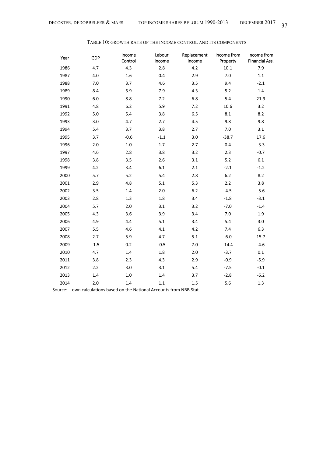| Year | <b>GDP</b> | Income<br>Control | Labour<br>income | Replacement<br>income | Income from<br>Property | Income from<br>Financial Ass. |
|------|------------|-------------------|------------------|-----------------------|-------------------------|-------------------------------|
| 1986 | 4.7        | 4.3               | 2.8              | 4.2                   | $10.1\,$                | 7.9                           |
| 1987 | $4.0\,$    | $1.6\,$           | 0.4              | 2.9                   | $7.0\,$                 | $1.1\,$                       |
| 1988 | $7.0$      | 3.7               | 4.6              | 3.5                   | 9.4                     | $-2.1$                        |
| 1989 | 8.4        | 5.9               | 7.9              | 4.3                   | $5.2$                   | 1.4                           |
| 1990 | $6.0\,$    | 8.8               | 7.2              | 6.8                   | 5.4                     | 21.9                          |
| 1991 | 4.8        | $6.2$             | 5.9              | 7.2                   | 10.6                    | 3.2                           |
| 1992 | $5.0\,$    | 5.4               | 3.8              | 6.5                   | 8.1                     | 8.2                           |
| 1993 | 3.0        | 4.7               | 2.7              | 4.5                   | 9.8                     | 9.8                           |
| 1994 | 5.4        | 3.7               | 3.8              | 2.7                   | 7.0                     | 3.1                           |
| 1995 | 3.7        | $-0.6$            | $-1.1$           | 3.0                   | $-38.7$                 | 17.6                          |
| 1996 | 2.0        | $1.0\,$           | 1.7              | 2.7                   | 0.4                     | $-3.3$                        |
| 1997 | 4.6        | 2.8               | 3.8              | 3.2                   | 2.3                     | $-0.7$                        |
| 1998 | 3.8        | 3.5               | 2.6              | 3.1                   | $5.2$                   | $6.1\,$                       |
| 1999 | 4.2        | 3.4               | 6.1              | 2.1                   | $-2.1$                  | $-1.2$                        |
| 2000 | 5.7        | 5.2               | 5.4              | 2.8                   | $6.2$                   | 8.2                           |
| 2001 | 2.9        | 4.8               | 5.1              | 5.3                   | 2.2                     | 3.8                           |
| 2002 | 3.5        | 1.4               | 2.0              | $6.2$                 | $-4.5$                  | $-5.6$                        |
| 2003 | $2.8\,$    | $1.3\,$           | $1.8\,$          | 3.4                   | $-1.8$                  | $-3.1$                        |
| 2004 | 5.7        | 2.0               | 3.1              | 3.2                   | $-7.0$                  | $-1.4$                        |
| 2005 | 4.3        | 3.6               | 3.9              | 3.4                   | 7.0                     | 1.9                           |
| 2006 | 4.9        | 4.4               | 5.1              | 3.4                   | 5.4                     | 3.0                           |
| 2007 | 5.5        | 4.6               | 4.1              | 4.2                   | 7.4                     | 6.3                           |
| 2008 | 2.7        | 5.9               | 4.7              | 5.1                   | $-6.0$                  | 15.7                          |
| 2009 | $-1.5$     | 0.2               | $-0.5$           | $7.0\,$               | $-14.4$                 | $-4.6$                        |
| 2010 | 4.7        | 1.4               | 1.8              | 2.0                   | $-3.7$                  | 0.1                           |
| 2011 | 3.8        | 2.3               | 4.3              | 2.9                   | $-0.9$                  | $-5.9$                        |
| 2012 | 2.2        | 3.0               | 3.1              | 5.4                   | $-7.5$                  | $-0.1$                        |
| 2013 | 1.4        | $1.0\,$           | 1.4              | 3.7                   | $-2.8$                  | $-6.2$                        |
| 2014 | 2.0        | 1.4               | 1.1              | 1.5                   | 5.6                     | 1.3                           |

#### TABLE 10: GROWTH RATE OF THE INCOME CONTROL AND ITS COMPONENTS

Source: own calculations based on the National Accounts from NBB.Stat.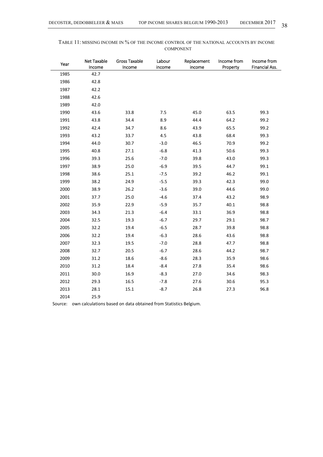| Year | Net Taxable<br>Income | <b>Gross Taxable</b><br>Income | Labour<br>income | Replacement<br>income | Income from<br>Property | Income from<br>Financial Ass. |
|------|-----------------------|--------------------------------|------------------|-----------------------|-------------------------|-------------------------------|
| 1985 | 42.7                  |                                |                  |                       |                         |                               |
| 1986 | 42.8                  |                                |                  |                       |                         |                               |
| 1987 | 42.2                  |                                |                  |                       |                         |                               |
| 1988 | 42.6                  |                                |                  |                       |                         |                               |
| 1989 | 42.0                  |                                |                  |                       |                         |                               |
| 1990 | 43.6                  | 33.8                           | 7.5              | 45.0                  | 63.5                    | 99.3                          |
| 1991 | 43.8                  | 34.4                           | 8.9              | 44.4                  | 64.2                    | 99.2                          |
| 1992 | 42.4                  | 34.7                           | 8.6              | 43.9                  | 65.5                    | 99.2                          |
| 1993 | 43.2                  | 33.7                           | 4.5              | 43.8                  | 68.4                    | 99.3                          |
| 1994 | 44.0                  | 30.7                           | $-3.0$           | 46.5                  | 70.9                    | 99.2                          |
| 1995 | 40.8                  | 27.1                           | $-6.8$           | 41.3                  | 50.6                    | 99.3                          |
| 1996 | 39.3                  | 25.6                           | $-7.0$           | 39.8                  | 43.0                    | 99.3                          |
| 1997 | 38.9                  | 25.0                           | $-6.9$           | 39.5                  | 44.7                    | 99.1                          |
| 1998 | 38.6                  | 25.1                           | $-7.5$           | 39.2                  | 46.2                    | 99.1                          |
| 1999 | 38.2                  | 24.9                           | $-5.5$           | 39.3                  | 42.3                    | 99.0                          |
| 2000 | 38.9                  | 26.2                           | $-3.6$           | 39.0                  | 44.6                    | 99.0                          |
| 2001 | 37.7                  | 25.0                           | $-4.6$           | 37.4                  | 43.2                    | 98.9                          |
| 2002 | 35.9                  | 22.9                           | $-5.9$           | 35.7                  | 40.1                    | 98.8                          |
| 2003 | 34.3                  | 21.3                           | $-6.4$           | 33.1                  | 36.9                    | 98.8                          |
| 2004 | 32.5                  | 19.3                           | $-6.7$           | 29.7                  | 29.1                    | 98.7                          |
| 2005 | 32.2                  | 19.4                           | $-6.5$           | 28.7                  | 39.8                    | 98.8                          |
| 2006 | 32.2                  | 19.4                           | $-6.3$           | 28.6                  | 43.6                    | 98.8                          |
| 2007 | 32.3                  | 19.5                           | $-7.0$           | 28.8                  | 47.7                    | 98.8                          |
| 2008 | 32.7                  | 20.5                           | $-6.7$           | 28.6                  | 44.2                    | 98.7                          |
| 2009 | 31.2                  | 18.6                           | $-8.6$           | 28.3                  | 35.9                    | 98.6                          |
| 2010 | 31.2                  | 18.4                           | $-8.4$           | 27.8                  | 35.4                    | 98.6                          |
| 2011 | 30.0                  | 16.9                           | $-8.3$           | 27.0                  | 34.6                    | 98.3                          |
| 2012 | 29.3                  | 16.5                           | $-7.8$           | 27.6                  | 30.6                    | 95.3                          |
| 2013 | 28.1                  | 15.1                           | $-8.7$           | 26.8                  | 27.3                    | 96.8                          |
| 2014 | 25.9                  |                                |                  |                       |                         |                               |

| TABLE 11: MISSING INCOME IN % OF THE INCOME CONTROL OF THE NATIONAL ACCOUNTS BY INCOME |  |
|----------------------------------------------------------------------------------------|--|
| <b>COMPONENT</b>                                                                       |  |

Source: own calculations based on data obtained from Statistics Belgium.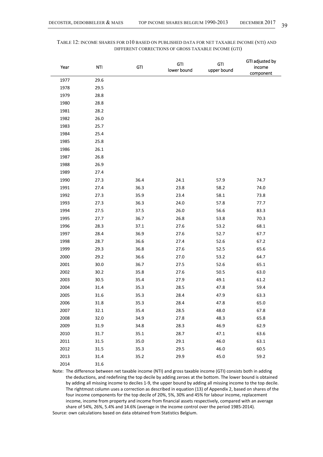| Year | <b>NTI</b> | <b>GTI</b> | GTI<br>lower bound | GTI<br>upper bound | GTI adjusted by<br>income<br>component |
|------|------------|------------|--------------------|--------------------|----------------------------------------|
| 1977 | 29.6       |            |                    |                    |                                        |
| 1978 | 29.5       |            |                    |                    |                                        |
| 1979 | 28.8       |            |                    |                    |                                        |
| 1980 | 28.8       |            |                    |                    |                                        |
| 1981 | 28.2       |            |                    |                    |                                        |
| 1982 | 26.0       |            |                    |                    |                                        |
| 1983 | 25.7       |            |                    |                    |                                        |
| 1984 | 25.4       |            |                    |                    |                                        |
| 1985 | 25.8       |            |                    |                    |                                        |
| 1986 | 26.1       |            |                    |                    |                                        |
| 1987 | 26.8       |            |                    |                    |                                        |
| 1988 | 26.9       |            |                    |                    |                                        |
| 1989 | 27.4       |            |                    |                    |                                        |
| 1990 | 27.3       | 36.4       | 24.1               | 57.9               | 74.7                                   |
| 1991 | 27.4       | 36.3       | 23.8               | 58.2               | 74.0                                   |
| 1992 | 27.3       | 35.9       | 23.4               | 58.1               | 73.8                                   |
| 1993 | 27.3       | 36.3       | 24.0               | 57.8               | 77.7                                   |
| 1994 | 27.5       | 37.5       | 26.0               | 56.6               | 83.3                                   |
| 1995 | 27.7       | 36.7       | 26.8               | 53.8               | 70.3                                   |
| 1996 | 28.3       | 37.1       | 27.6               | 53.2               | 68.1                                   |
| 1997 | 28.4       | 36.9       | 27.6               | 52.7               | 67.7                                   |
| 1998 | 28.7       | 36.6       | 27.4               | 52.6               | 67.2                                   |
| 1999 | 29.3       | 36.8       | 27.6               | 52.5               | 65.6                                   |
| 2000 | 29.2       | 36.6       | 27.0               | 53.2               | 64.7                                   |
| 2001 | 30.0       | 36.7       | 27.5               | 52.6               | 65.1                                   |
| 2002 | 30.2       | 35.8       | 27.6               | 50.5               | 63.0                                   |
| 2003 | 30.5       | 35.4       | 27.9               | 49.1               | 61.2                                   |
| 2004 | 31.4       | 35.3       | 28.5               | 47.8               | 59.4                                   |
| 2005 | 31.6       | 35.3       | 28.4               | 47.9               | 63.3                                   |
| 2006 | 31.8       | 35.3       | 28.4               | 47.8               | 65.0                                   |
| 2007 | 32.1       | 35.4       | 28.5               | 48.0               | 67.8                                   |
| 2008 | 32.0       | 34.9       | 27.8               | 48.3               | 65.8                                   |
| 2009 | 31.9       | 34.8       | 28.3               | 46.9               | 62.9                                   |
| 2010 | 31.7       | 35.1       | 28.7               | 47.1               | 63.6                                   |
| 2011 | 31.5       | 35.0       | 29.1               | 46.0               | 63.1                                   |
| 2012 | 31.5       | 35.3       | 29.5               | 46.0               | 60.5                                   |
| 2013 | 31.4       | 35.2       | 29.9               | 45.0               | 59.2                                   |
| 2014 | $31.6\,$   |            |                    |                    |                                        |

# TABLE 12: INCOME SHARES FOR D10 BASED ON PUBLISHED DATA FOR NET TAXABLE INCOME (NTI) AND DIFFERENT CORRECTIONS OF GROSS TAXABLE INCOME (GTI)

Note: The difference between net taxable income (NTI) and gross taxable income (GTI) consists both in adding the deductions, and redefining the top decile by adding zeroes at the bottom. The lower bound is obtained by adding all missing income to deciles 1‐9, the upper bound by adding all missing income to the top decile. The rightmost column uses a correction as described in equation (13) of Appendix 2, based on shares of the four income components for the top decile of 20%, 5%, 30% and 45% for labour income, replacement income, income from property and income from financial assets respectively, compared with an average share of 54%, 26%, 5.4% and 14.6% (average in the income control over the period 1985‐2014). Source: own calculations based on data obtained from Statistics Belgium.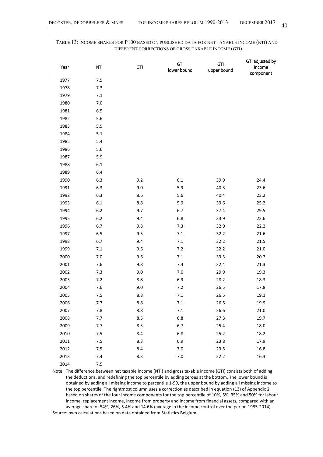| Year | GTI<br><b>NTI</b> |         | <b>GTI</b><br>lower bound | <b>GTI</b><br>upper bound | GTI adjusted by<br>income<br>component |
|------|-------------------|---------|---------------------------|---------------------------|----------------------------------------|
| 1977 | 7.5               |         |                           |                           |                                        |
| 1978 | 7.3               |         |                           |                           |                                        |
| 1979 | $7.1\,$           |         |                           |                           |                                        |
| 1980 | $7.0\,$           |         |                           |                           |                                        |
| 1981 | $6.5\,$           |         |                           |                           |                                        |
| 1982 | 5.6               |         |                           |                           |                                        |
| 1983 | 5.5               |         |                           |                           |                                        |
| 1984 | 5.1               |         |                           |                           |                                        |
| 1985 | 5.4               |         |                           |                           |                                        |
| 1986 | 5.6               |         |                           |                           |                                        |
| 1987 | 5.9               |         |                           |                           |                                        |
| 1988 | $6.1\,$           |         |                           |                           |                                        |
| 1989 | 6.4               |         |                           |                           |                                        |
| 1990 | 6.3               | 9.2     | $6.1\,$                   | 39.9                      | 24.4                                   |
| 1991 | 6.3               | 9.0     | 5.9                       | 40.3                      | 23.6                                   |
| 1992 | 6.3               | 8.6     | 5.6                       | 40.4                      | 23.2                                   |
| 1993 | $6.1\,$           | 8.8     | 5.9                       | 39.6                      | 25.2                                   |
| 1994 | $6.2\,$           | 9.7     | 6.7                       | 37.4                      | 29.5                                   |
| 1995 | $6.2\,$           | 9.4     | $6.8\,$                   | 33.9                      | 22.6                                   |
| 1996 | 6.7               | 9.8     | 7.3                       | 32.9                      | 22.2                                   |
| 1997 | 6.5               | 9.5     | 7.1                       | 32.2                      | $21.6\,$                               |
| 1998 | $6.7$             | 9.4     | $7.1\,$                   | 32.2                      | 21.5                                   |
| 1999 | 7.1               | 9.6     | 7.2                       | 32.2                      | $21.0\,$                               |
| 2000 | $7.0\,$           | 9.6     | $7.1\,$                   | 33.3                      | 20.7                                   |
| 2001 | 7.6               | 9.8     | 7.4                       | 32.4                      | 21.3                                   |
| 2002 | 7.3               | 9.0     | $7.0\,$                   | 29.9                      | 19.3                                   |
| 2003 | 7.2               | 8.8     | 6.9                       | 28.2                      | 18.3                                   |
| 2004 | 7.6               | 9.0     | 7.2                       | 26.5                      | 17.8                                   |
| 2005 | 7.5               | 8.8     | $7.1$                     | 26.5                      | 19.1                                   |
| 2006 | 7.7               | $8.8\,$ | $7.1\,$                   | 26.5                      | 19.9                                   |
| 2007 | 7.8               | 8.8     | 7.1                       | 26.6                      | 21.0                                   |
| 2008 | 7.7               | 8.5     | $6.8\,$                   | 27.3                      | 19.7                                   |
| 2009 | 7.7               | 8.3     | 6.7                       | 25.4                      | 18.0                                   |
| 2010 | 7.5               | $8.4\,$ | $6.8\,$                   | 25.2                      | 18.2                                   |
| 2011 | 7.5               | 8.3     | 6.9                       | 23.8                      | 17.9                                   |
| 2012 | 7.5               | 8.4     | 7.0                       | 23.5                      | 16.8                                   |
| 2013 | 7.4               | 8.3     | 7.0                       | 22.2                      | 16.3                                   |
| 2014 | 7.5               |         |                           |                           |                                        |

# TABLE 13: INCOME SHARES FOR P100 BASED ON PUBLISHED DATA FOR NET TAXABLE INCOME (NTI) AND DIFFERENT CORRECTIONS OF GROSS TAXABLE INCOME (GTI)

Note: The difference between net taxable income (NTI) and gross taxable income (GTI) consists both of adding the deductions, and redefining the top percentile by adding zeroes at the bottom. The lower bound is obtained by adding all missing income to percentile 1‐99, the upper bound by adding all missing income to the top percentile. The rightmost column uses a correction as described in equation (13) of Appendix 2, based on shares of the four income components for the top percentile of 10%, 5%, 35% and 50% for labour income, replacement income, income from property and income from financial assets, compared with an average share of 54%, 26%, 5.4% and 14.6% (average in the income control over the period 1985‐2014). Source: own calculations based on data obtained from Statistics Belgium.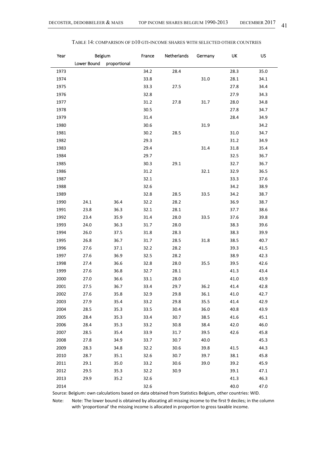| Year | Belgium     |              | France | Netherlands | Germany | UK   | US   |
|------|-------------|--------------|--------|-------------|---------|------|------|
|      | Lower Bound | proportional |        |             |         |      |      |
| 1973 |             |              | 34.2   | 28.4        |         | 28.3 | 35.0 |
| 1974 |             |              | 33.8   |             | 31.0    | 28.1 | 34.1 |
| 1975 |             |              | 33.3   | 27.5        |         | 27.8 | 34.4 |
| 1976 |             |              | 32.8   |             |         | 27.9 | 34.3 |
| 1977 |             |              | 31.2   | 27.8        | 31.7    | 28.0 | 34.8 |
| 1978 |             |              | 30.5   |             |         | 27.8 | 34.7 |
| 1979 |             |              | 31.4   |             |         | 28.4 | 34.9 |
| 1980 |             |              | 30.6   |             | 31.9    |      | 34.2 |
| 1981 |             |              | 30.2   | 28.5        |         | 31.0 | 34.7 |
| 1982 |             |              | 29.3   |             |         | 31.2 | 34.9 |
| 1983 |             |              | 29.4   |             | 31.4    | 31.8 | 35.4 |
| 1984 |             |              | 29.7   |             |         | 32.5 | 36.7 |
| 1985 |             |              | 30.3   | 29.1        |         | 32.7 | 36.7 |
| 1986 |             |              | 31.2   |             | 32.1    | 32.9 | 36.5 |
| 1987 |             |              | 32.1   |             |         | 33.3 | 37.6 |
| 1988 |             |              | 32.6   |             |         | 34.2 | 38.9 |
| 1989 |             |              | 32.8   | 28.5        | 33.5    | 34.2 | 38.7 |
| 1990 | 24.1        | 36.4         | 32.2   | 28.2        |         | 36.9 | 38.7 |
| 1991 | 23.8        | 36.3         | 32.1   | 28.1        |         | 37.7 | 38.6 |
| 1992 | 23.4        | 35.9         | 31.4   | 28.0        | 33.5    | 37.6 | 39.8 |
| 1993 | 24.0        | 36.3         | 31.7   | 28.0        |         | 38.3 | 39.6 |
| 1994 | 26.0        | 37.5         | 31.8   | 28.3        |         | 38.3 | 39.9 |
| 1995 | 26.8        | 36.7         | 31.7   | 28.5        | 31.8    | 38.5 | 40.7 |
| 1996 | 27.6        | 37.1         | 32.2   | 28.2        |         | 39.3 | 41.5 |
| 1997 | 27.6        | 36.9         | 32.5   | 28.2        |         | 38.9 | 42.3 |
| 1998 | 27.4        | 36.6         | 32.8   | 28.0        | 35.5    | 39.5 | 42.6 |
| 1999 | 27.6        | 36.8         | 32.7   | 28.1        |         | 41.3 | 43.4 |
| 2000 | 27.0        | 36.6         | 33.1   | 28.0        |         | 41.0 | 43.9 |
| 2001 | 27.5        | 36.7         | 33.4   | 29.7        | 36.2    | 41.4 | 42.8 |
| 2002 | 27.6        | 35.8         | 32.9   | 29.8        | 36.1    | 41.0 | 42.7 |
| 2003 | 27.9        | 35.4         | 33.2   | 29.8        | 35.5    | 41.4 | 42.9 |
| 2004 | 28.5        | 35.3         | 33.5   | 30.4        | 36.0    | 40.8 | 43.9 |
| 2005 | 28.4        | 35.3         | 33.4   | 30.7        | 38.5    | 41.6 | 45.1 |
| 2006 | 28.4        | 35.3         | 33.2   | 30.8        | 38.4    | 42.0 | 46.0 |
| 2007 | 28.5        | 35.4         | 33.9   | 31.7        | 39.5    | 42.6 | 45.8 |
| 2008 | 27.8        | 34.9         | 33.7   | 30.7        | 40.0    |      | 45.3 |
| 2009 | 28.3        | 34.8         | 32.2   | 30.6        | 39.8    | 41.5 | 44.3 |
| 2010 | 28.7        | 35.1         | 32.6   | 30.7        | 39.7    | 38.1 | 45.8 |
| 2011 | 29.1        | 35.0         | 33.2   | 30.6        | 39.0    | 39.2 | 45.9 |
| 2012 | 29.5        | 35.3         | 32.2   | 30.9        |         | 39.1 | 47.1 |
| 2013 | 29.9        | 35.2         | 32.6   |             |         | 41.3 | 46.3 |
| 2014 |             |              | 32.6   |             |         | 40.0 | 47.0 |

| Table 14: comparison of d10 gti-income shares with selected other countries |  |  |  |
|-----------------------------------------------------------------------------|--|--|--|
|-----------------------------------------------------------------------------|--|--|--|

Source: Belgium: own calculations based on data obtained from Statistics Belgium, other countries: WID.

Note: Note: The lower bound is obtained by allocating all missing income to the first 9 deciles; in the column with 'proportional' the missing income is allocated in proportion to gross taxable income.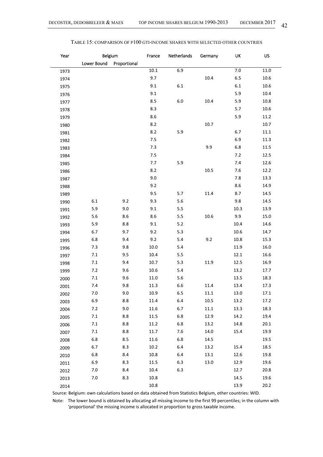| Year | Belgium     |              | France   | Netherlands | Germany  | UK      | <b>US</b> |
|------|-------------|--------------|----------|-------------|----------|---------|-----------|
|      | Lower Bound | Proportional |          |             |          |         |           |
| 1973 |             |              | $10.1\,$ | 6.9         |          | $7.0\,$ | 11.0      |
| 1974 |             |              | 9.7      |             | 10.4     | 6.5     | 10.6      |
| 1975 |             |              | 9.1      | 6.1         |          | 6.1     | 10.6      |
| 1976 |             |              | 9.1      |             |          | 5.9     | 10.4      |
| 1977 |             |              | 8.5      | $6.0\,$     | 10.4     | 5.9     | 10.8      |
| 1978 |             |              | 8.3      |             |          | 5.7     | 10.6      |
| 1979 |             |              | $8.6\,$  |             |          | 5.9     | 11.2      |
| 1980 |             |              | 8.2      |             | 10.7     |         | 10.7      |
| 1981 |             |              | 8.2      | 5.9         |          | 6.7     | $11.1\,$  |
| 1982 |             |              | 7.5      |             |          | 6.9     | 11.3      |
| 1983 |             |              | 7.3      |             | 9.9      | $6.8$   | 11.5      |
| 1984 |             |              | 7.5      |             |          | 7.2     | 12.5      |
| 1985 |             |              | 7.7      | 5.9         |          | 7.4     | 12.6      |
| 1986 |             |              | 8.2      |             | 10.5     | 7.6     | 12.2      |
| 1987 |             |              | 9.0      |             |          | 7.8     | 13.3      |
| 1988 |             |              | 9.2      |             |          | 8.6     | 14.9      |
| 1989 |             |              | 9.5      | 5.7         | 11.4     | 8.7     | 14.5      |
| 1990 | $6.1\,$     | 9.2          | 9.3      | $5.6$       |          | 9.8     | 14.5      |
| 1991 | 5.9         | 9.0          | 9.1      | 5.5         |          | 10.3    | 13.9      |
| 1992 | 5.6         | 8.6          | 8.6      | 5.5         | 10.6     | 9.9     | 15.0      |
| 1993 | 5.9         | 8.8          | 9.1      | $5.2$       |          | 10.4    | 14.6      |
| 1994 | 6.7         | 9.7          | 9.2      | 5.3         |          | 10.6    | 14.7      |
| 1995 | $6.8\,$     | 9.4          | 9.2      | 5.4         | 9.2      | 10.8    | 15.3      |
| 1996 | 7.3         | 9.8          | 10.0     | 5.4         |          | 11.9    | 16.0      |
| 1997 | 7.1         | 9.5          | 10.4     | 5.5         |          | 12.1    | 16.6      |
| 1998 | 7.1         | 9.4          | 10.7     | 5.3         | 11.9     | 12.5    | 16.9      |
| 1999 | 7.2         | 9.6          | 10.6     | 5.4         |          | 13.2    | 17.7      |
| 2000 | 7.1         | 9.6          | 11.0     | 5.6         |          | 13.5    | 18.3      |
| 2001 | 7.4         | 9.8          | 11.3     | 6.6         | 11.4     | 13.4    | 17.3      |
| 2002 | $7.0\,$     | 9.0          | $10.9\,$ | $6.5\,$     | $11.1\,$ | 13.0    | 17.1      |
| 2003 | 6.9         | 8.8          | 11.4     | 6.4         | 10.5     | 13.2    | 17.2      |
| 2004 | 7.2         | 9.0          | 11.6     | 6.7         | $11.1\,$ | 13.3    | 18.3      |
| 2005 | 7.1         | 8.8          | 11.5     | $6.8\,$     | 12.9     | 14.2    | 19.4      |
| 2006 | 7.1         | 8.8          | 11.2     | $6.8\,$     | 13.2     | 14.8    | 20.1      |
| 2007 | 7.1         | 8.8          | 11.7     | 7.6         | 14.0     | 15.4    | 19.9      |
| 2008 | $6.8\,$     | 8.5          | 11.6     | $6.8\,$     | 14.5     |         | 19.5      |
| 2009 | $6.7$       | 8.3          | 10.2     | $6.4\,$     | 13.2     | 15.4    | 18.5      |
| 2010 | $6.8\,$     | 8.4          | 10.8     | 6.4         | 13.1     | 12.6    | 19.8      |
| 2011 | $6.9\,$     | 8.3          | 11.5     | 6.3         | 13.0     | 12.9    | 19.6      |
| 2012 | $7.0\,$     | 8.4          | 10.4     | 6.3         |          | 12.7    | 20.8      |
| 2013 | $7.0\,$     | 8.3          | 10.8     |             |          | 14.5    | 19.6      |
| 2014 |             |              | 10.8     |             |          | 13.9    | 20.2      |

#### TABLE 15: COMPARISON OF P100 GTI-INCOME SHARES WITH SELECTED OTHER COUNTRIES

Source: Belgium: own calculations based on data obtained from Statistics Belgium, other countries: WID.

Note: The lower bound is obtained by allocating all missing income to the first 99 percentiles; in the column with 'proportional' the missing income is allocated in proportion to gross taxable income.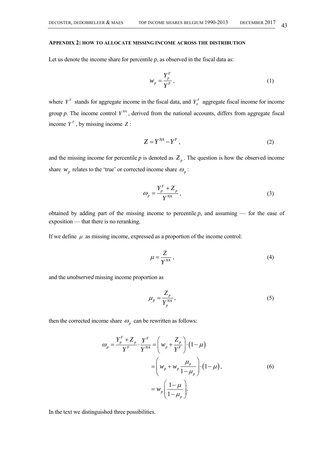#### **APPENDIX 2: HOW TO ALLOCATE MISSING INCOME ACROSS THE DISTRIBUTION**

Let us denote the income share for percentile  $p$ , as observed in the fiscal data as:

$$
w_p = \frac{Y_p^F}{Y^F},\tag{1}
$$

where  $Y^F$  stands for aggregate income in the fiscal data, and  $Y^F_p$  aggregate fiscal income for income group  $p$ . The income control  $Y^{M}$ , derived from the national accounts, differs from aggregate fiscal income  $Y^F$ , by missing income  $Z$ :

$$
Z = Y^{NA} - Y^F, \tag{2}
$$

and the missing income for percentile  $p$  is denoted as  $Z_p$ . The question is how the observed income share  $W_p$  relates to the 'true' or corrected income share  $\omega_p$ :

$$
\omega_p = \frac{Y_p^F + Z_p}{Y^{NA}},\tag{3}
$$

obtained by adding part of the missing income to percentile  $p$ , and assuming — for the ease of exposition — that there is no reranking.

If we define  $\mu$  as missing income, expressed as a proportion of the income control:

$$
\mu = \frac{Z}{Y^{NA}}\,,\tag{4}
$$

and the *unobserved* missing income proportion as

$$
\mu_p = \frac{Z_p}{Y_p^{NA}},\tag{5}
$$

then the corrected income share  $\omega$ <sub>p</sub> can be rewritten as follows:

$$
\omega_p = \frac{Y_p^F + Z_p}{Y^F} \cdot \frac{Y^F}{Y^{NA}} = \left(w_p + \frac{Z_p}{Y^F}\right) \cdot \left(1 - \mu\right)
$$

$$
= \left(w_p + w_p \frac{\mu_p}{1 - \mu_p}\right) \cdot \left(1 - \mu\right),
$$

$$
= w_p \left(\frac{1 - \mu}{1 - \mu_p}\right).
$$

$$
(6)
$$

In the text we distinguished three possibilities.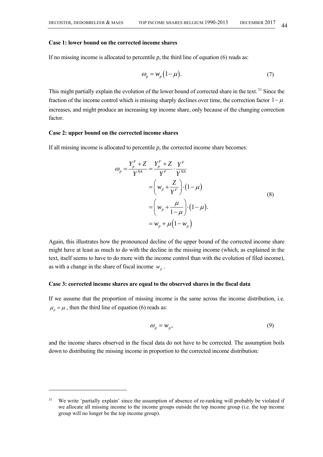$\overline{\phantom{a}}$ 

#### **Case 1: lower bound on the corrected income shares**

If no missing income is allocated to percentile  $p$ , the third line of equation (6) reads as:

$$
\omega_p = w_p \left( 1 - \mu \right). \tag{7}
$$

This might partially explain the evolution of the lower bound of corrected share in the text.<sup>31</sup> Since the fraction of the income control which is missing sharply declines over time, the correction factor  $1 - \mu$ increases, and might produce an increasing top income share, only because of the changing correction factor.

# **Case 2: upper bound on the corrected income shares**

If all missing income is allocated to percentile  $p$ , the corrected income share becomes:

$$
\omega_p = \frac{Y_p^F + Z}{Y^{NA}} = \frac{Y_p^F + Z}{Y^F} \cdot \frac{Y^F}{Y^{NA}}
$$
  
\n
$$
= \left(w_p + \frac{Z}{Y^F}\right) \cdot \left(1 - \mu\right)
$$
  
\n
$$
= \left(w_p + \frac{\mu}{1 - \mu}\right) \cdot \left(1 - \mu\right).
$$
  
\n
$$
= w_p + \mu \left(1 - w_p\right)
$$
\n(8)

Again, this illustrates how the pronounced decline of the upper bound of the corrected income share might have at least as much to do with the decline in the missing income (which, as explained in the text, itself seems to have to do more with the income control than with the evolution of filed income), as with a change in the share of fiscal income  $w_p$ .

#### **Case 3: corrected income shares are equal to the observed shares in the fiscal data**

If we assume that the proportion of missing income is the same across the income distribution, i.e.  $\mu_p = \mu$ , then the third line of equation (6) reads as:

$$
\omega_p = w_p,\tag{9}
$$

and the income shares observed in the fiscal data do not have to be corrected. The assumption boils down to distributing the missing income in proportion to the corrected income distribution:

<sup>&</sup>lt;sup>31</sup> We write 'partially explain' since the assumption of absence of re-ranking will probably be violated if we allocate all missing income to the income groups outside the top income group (i.e. the top income group will no longer be the top income group).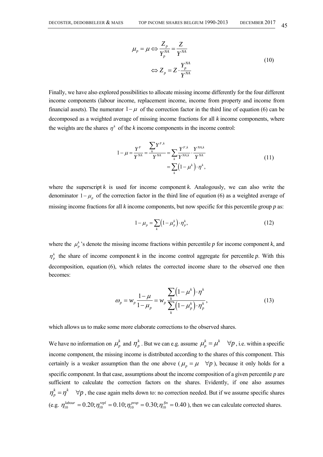$$
\mu_p = \mu \Leftrightarrow \frac{Z_p}{Y_p^{NA}} = \frac{Z}{Y^{NA}}
$$
\n
$$
\Leftrightarrow Z_p = Z \cdot \frac{Y_p^{NA}}{Y^{NA}}
$$
\n(10)

Finally, we have also explored possibilities to allocate missing income differently for the four different income components (labour income, replacement income, income from property and income from financial assets). The numerator  $1 - \mu$  of the correction factor in the third line of equation (6) can be decomposed as a weighted average of missing income fractions for all *k* income components, where the weights are the shares  $\eta^k$  of the *k* income components in the income control:

$$
1 - \mu = \frac{Y^F}{Y^{NA}} = \frac{\sum_{k} Y^{F,k}}{Y^{NA}} = \sum_{k} \frac{Y^{F,k}}{Y^{NA,k}} \cdot \frac{Y^{NA,k}}{Y^{NA}} = \sum_{k} (1 - \mu^k) \cdot \eta^k,
$$
\n(11)

where the superscript  $k$  is used for income component  $k$ . Analogously, we can also write the denominator  $1 - \mu_p$  of the correction factor in the third line of equation (6) as a weighted average of missing income fractions for all *k* income components, but now specific for this percentile group *p* as:

$$
1 - \mu_p = \sum_k \left(1 - \mu_p^k\right) \cdot \eta_p^k,\tag{12}
$$

where the  $\mu_p^k$ 's denote the missing income fractions within percentile p for income component k, and  $\eta_p^k$  the share of income component *k* in the income control aggregate for percentile *p*. With this decomposition, equation (6), which relates the corrected income share to the observed one then becomes:

$$
\omega_{p} = w_{p} \frac{1 - \mu}{1 - \mu_{p}} = w_{p} \frac{\sum_{k} (1 - \mu^{k}) \cdot \eta^{k}}{\sum_{k} (1 - \mu^{k}_{p}) \cdot \eta^{k}_{p}},
$$
\n(13)

which allows us to make some more elaborate corrections to the observed shares.

We have no information on  $\mu_p^k$  and  $\eta_p^k$ . But we can e.g. assume  $\mu_p^k = \mu^k \quad \forall p$ , i.e. within a specific income component, the missing income is distributed according to the shares of this component. This certainly is a weaker assumption than the one above ( $\mu_p = \mu \quad \forall p$ ), because it only holds for a specific component. In that case, assumptions about the income composition of a given percentile *p* are sufficient to calculate the correction factors on the shares. Evidently, if one also assumes  $\eta_p^k = \eta^k$   $\forall p$ , the case again melts down to: no correction needed. But if we assume specific shares (e.g.  $\eta_{10}^{labor} = 0.20; \eta_{10}^{repl} = 0.10; \eta_{10}^{prop} = 0.30; \eta_{10}^{fin} = 0.40$ ), then we can calculate corrected shares.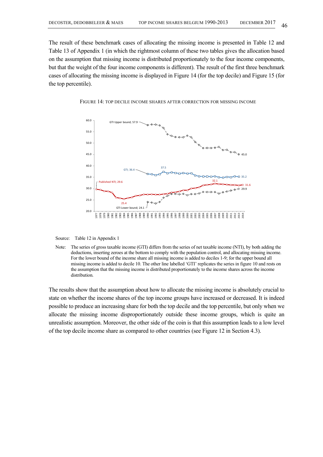The result of these benchmark cases of allocating the missing income is presented in Table 12 and Table 13 of Appendix 1 (in which the rightmost column of these two tables gives the allocation based on the assumption that missing income is distributed proportionately to the four income components, but that the weight of the four income components is different). The result of the first three benchmark cases of allocating the missing income is displayed in Figure 14 (for the top decile) and Figure 15 (for the top percentile).



FIGURE 14: TOP DECILE INCOME SHARES AFTER CORRECTION FOR MISSING INCOME

Source: Table 12 in Appendix 1

The results show that the assumption about how to allocate the missing income is absolutely crucial to state on whether the income shares of the top income groups have increased or decreased. It is indeed possible to produce an increasing share for both the top decile and the top percentile, but only when we allocate the missing income disproportionately outside these income groups, which is quite an unrealistic assumption. Moreover, the other side of the coin is that this assumption leads to a low level of the top decile income share as compared to other countries (see Figure 12 in Section 4.3).

Note: The series of gross taxable income (GTI) differs from the series of net taxable income (NTI), by both adding the deductions, inserting zeroes at the bottom to comply with the population control, and allocating missing income. For the lower bound of the income share all missing income is added to deciles 1-9; for the upper bound all missing income is added to decile 10. The other line labelled 'GTI' replicates the series in figure 10 and rests on the assumption that the missing income is distributed proportionately to the income shares across the income distribution.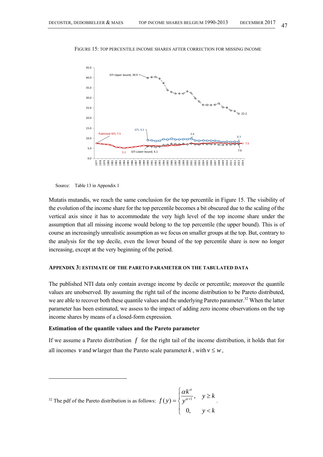

FIGURE 15: TOP PERCENTILE INCOME SHARES AFTER CORRECTION FOR MISSING INCOME

Source: Table 13 in Appendix 1

l

Mutatis mutandis, we reach the same conclusion for the top percentile in Figure 15. The visibility of the evolution of the income share for the top percentile becomes a bit obscured due to the scaling of the vertical axis since it has to accommodate the very high level of the top income share under the assumption that all missing income would belong to the top percentile (the upper bound). This is of course an increasingly unrealistic assumption as we focus on smaller groups at the top. But, contrary to the analysis for the top decile, even the lower bound of the top percentile share is now no longer increasing, except at the very beginning of the period.

# **APPENDIX 3: ESTIMATE OF THE PARETO PARAMETER ON THE TABULATED DATA**

The published NTI data only contain average income by decile or percentile; moreover the quantile values are unobserved. By assuming the right tail of the income distribution to be Pareto distributed, we are able to recover both these quantile values and the underlying Pareto parameter.<sup>32</sup> When the latter parameter has been estimated, we assess to the impact of adding zero income observations on the top income shares by means of a closed-form expression.

#### **Estimation of the quantile values and the Pareto parameter**

If we assume a Pareto distribution *f* for the right tail of the income distribution, it holds that for all incomes *v* and *w* larger than the Pareto scale parameter *k*, with  $v \leq w$ ,

<sup>32</sup> The pdf of the Pareto distribution is as follows: 
$$
f(y) = \begin{cases} \frac{\alpha k^{\alpha}}{y^{\alpha+1}}, & y \ge k \\ 0, & y < k \end{cases}
$$
.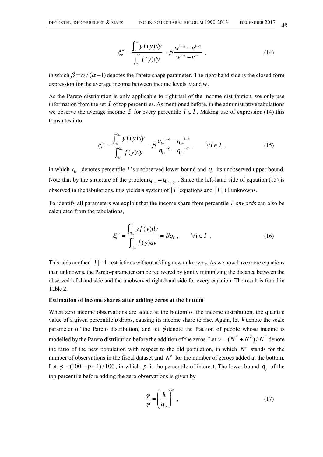$$
\xi_{\nu}^{w} = \frac{\int_{\nu}^{w} y f(y) dy}{\int_{\nu}^{w} f(y) dy} = \beta \frac{w^{1-\alpha} - v^{1-\alpha}}{w^{-\alpha} - v^{-\alpha}} , \qquad (14)
$$

in which  $\beta = \alpha / (\alpha - 1)$  denotes the Pareto shape parameter. The right-hand side is the closed form expression for the average income between income levels *v* and*w*.

As the Pareto distribution is only applicable to right tail of the income distribution, we only use information from the set *I* of top percentiles. As mentioned before, in the administrative tabulations we observe the average income  $\xi$  for every percentile  $i \in I$ . Making use of expression (14) this translates into

$$
\xi_{i-}^{i+} = \frac{\int_{q_{i-}}^{q_{i+}} y f(y) dy}{\int_{q_{i-}}^{q_{i+}} f(y) dy} = \beta \frac{q_{i+}^{1-\alpha} - q_{i-}^{1-\alpha}}{q_{i+}^{-\alpha} - q_{i-}^{-\alpha}}, \qquad \forall i \in I ,
$$
\n(15)

in which  $q_{i-}$  denotes percentile *i* 's unobserved lower bound and  $q_{i+}$  its unobserved upper bound. Note that by the structure of the problem  $q_{i+} = q_{(i+1)-}$ . Since the left-hand side of equation (15) is observed in the tabulations, this yields a system of  $|I|$  equations and  $|I|$  +1 unknowns.

To identify all parameters we exploit that the income share from percentile *i onwards* can also be calculated from the tabulations,

$$
\xi_i^{\infty} = \frac{\int_{q_{i-}}^{\infty} y f(y) dy}{\int_{q_{i-}}^{\infty} f(y) dy} = \beta q_{i-}, \qquad \forall i \in I .
$$
\n(16)

This adds another  $|I| - 1$  restrictions without adding new unknowns. As we now have more equations than unknowns, the Pareto-parameter can be recovered by jointly minimizing the distance between the observed left-hand side and the unobserved right-hand side for every equation. The result is found in Table 2.

# **Estimation of income shares after adding zeros at the bottom**

When zero income observations are added at the bottom of the income distribution, the quantile value of a given percentile *p* drops, causing its income share to rise. Again, let *k* denote the scale parameter of the Pareto distribution, and let  $\phi$  denote the fraction of people whose income is modelled by the Pareto distribution before the addition of the zeros. Let  $V = (N^F + N^Z) / N^F$  denote the ratio of the new population with respect to the old population, in which  $N<sup>F</sup>$  stands for the number of observations in the fiscal dataset and  $N^2$  for the number of zeroes added at the bottom. Let  $\varphi = (100 - p + 1) / 100$ , in which *p* is the percentile of interest. The lower bound  $q_{n}$  of the top percentile before adding the zero observations is given by

$$
\frac{\varphi}{\phi} = \left(\frac{k}{q_p}\right)^{\alpha},\tag{17}
$$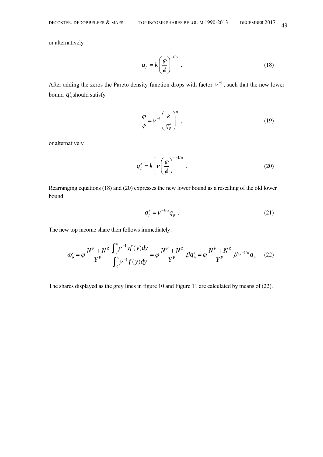or alternatively

$$
q_p = k \left(\frac{\varphi}{\phi}\right)^{-1/\alpha} \tag{18}
$$

After adding the zeros the Pareto density function drops with factor  $v^{-1}$ , such that the new lower bound  $q_p^z$  should satisfy

$$
\frac{\varphi}{\phi} = \nu^{-1} \left( \frac{k}{q_p^z} \right)^{\alpha} , \qquad (19)
$$

or alternatively

$$
q_p^z = k \left[ \nu \left( \frac{\varphi}{\phi} \right) \right]^{-1/\alpha} . \tag{20}
$$

Rearranging equations (18) and (20) expresses the new lower bound as a rescaling of the old lower bound

$$
q_p^z = v^{-1/\alpha} q_p \tag{21}
$$

The new top income share then follows immediately:

$$
\omega_{p}^{z} = \varphi \frac{N^{F} + N^{Z}}{Y^{F}} \frac{\int_{q^{z}}^{\infty} \nu^{-1} y f(y) dy}{\int_{q^{z}}^{\infty} \nu^{-1} f(y) dy} = \varphi \frac{N^{F} + N^{Z}}{Y^{F}} \beta q_{p}^{z} = \varphi \frac{N^{F} + N^{Z}}{Y^{F}} \beta \nu^{-1/\alpha} q_{p} \tag{22}
$$

The shares displayed as the grey lines in figure 10 and Figure 11 are calculated by means of (22).